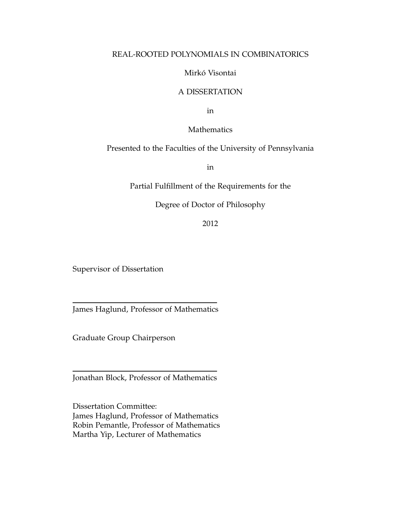#### REAL-ROOTED POLYNOMIALS IN COMBINATORICS

#### Mirkó Visontai

#### A DISSERTATION

in

#### Mathematics

#### Presented to the Faculties of the University of Pennsylvania

in

Partial Fulfillment of the Requirements for the

#### Degree of Doctor of Philosophy

2012

Supervisor of Dissertation

James Haglund, Professor of Mathematics

Graduate Group Chairperson

Jonathan Block, Professor of Mathematics

Dissertation Committee: James Haglund, Professor of Mathematics Robin Pemantle, Professor of Mathematics Martha Yip, Lecturer of Mathematics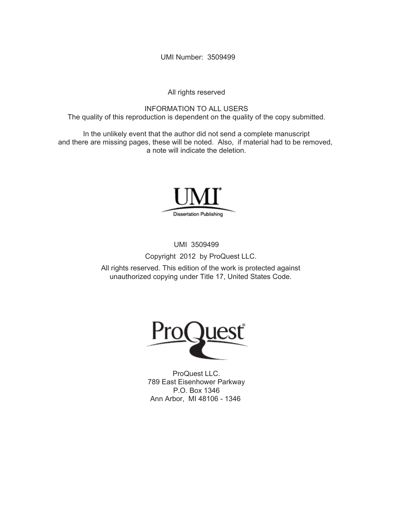UMI Number: 3509499

All rights reserved

INFORMATION TO ALL USERS The quality of this reproduction is dependent on the quality of the copy submitted.

In the unlikely event that the author did not send a complete manuscript and there are missing pages, these will be noted. Also, if material had to be removed, a note will indicate the deletion.



UMI 3509499

Copyright 2012 by ProQuest LLC.

All rights reserved. This edition of the work is protected against unauthorized copying under Title 17, United States Code.



ProQuest LLC. 789 East Eisenhower Parkway P.O. Box 1346 Ann Arbor, MI 48106 - 1346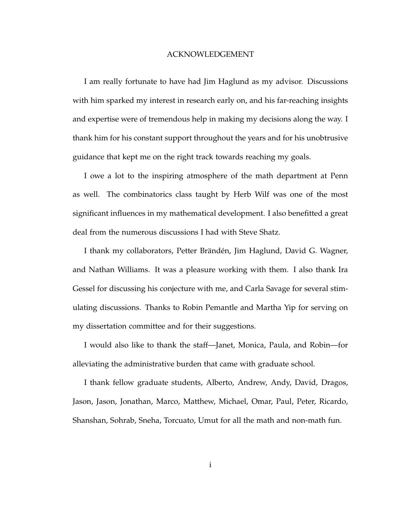#### ACKNOWLEDGEMENT

I am really fortunate to have had Jim Haglund as my advisor. Discussions with him sparked my interest in research early on, and his far-reaching insights and expertise were of tremendous help in making my decisions along the way. I thank him for his constant support throughout the years and for his unobtrusive guidance that kept me on the right track towards reaching my goals.

I owe a lot to the inspiring atmosphere of the math department at Penn as well. The combinatorics class taught by Herb Wilf was one of the most significant influences in my mathematical development. I also benefitted a great deal from the numerous discussions I had with Steve Shatz.

I thank my collaborators, Petter Brändén, Jim Haglund, David G. Wagner, and Nathan Williams. It was a pleasure working with them. I also thank Ira Gessel for discussing his conjecture with me, and Carla Savage for several stimulating discussions. Thanks to Robin Pemantle and Martha Yip for serving on my dissertation committee and for their suggestions.

I would also like to thank the staff—Janet, Monica, Paula, and Robin—for alleviating the administrative burden that came with graduate school.

I thank fellow graduate students, Alberto, Andrew, Andy, David, Dragos, Jason, Jason, Jonathan, Marco, Matthew, Michael, Omar, Paul, Peter, Ricardo, Shanshan, Sohrab, Sneha, Torcuato, Umut for all the math and non-math fun.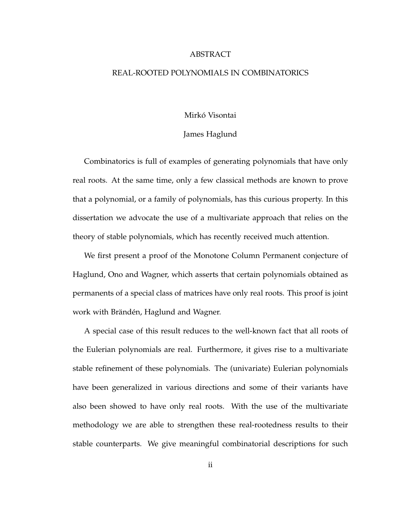#### ABSTRACT

#### REAL-ROOTED POLYNOMIALS IN COMBINATORICS

#### Mirkó Visontai

#### James Haglund

Combinatorics is full of examples of generating polynomials that have only real roots. At the same time, only a few classical methods are known to prove that a polynomial, or a family of polynomials, has this curious property. In this dissertation we advocate the use of a multivariate approach that relies on the theory of stable polynomials, which has recently received much attention.

We first present a proof of the Monotone Column Permanent conjecture of Haglund, Ono and Wagner, which asserts that certain polynomials obtained as permanents of a special class of matrices have only real roots. This proof is joint work with Brändén, Haglund and Wagner.

A special case of this result reduces to the well-known fact that all roots of the Eulerian polynomials are real. Furthermore, it gives rise to a multivariate stable refinement of these polynomials. The (univariate) Eulerian polynomials have been generalized in various directions and some of their variants have also been showed to have only real roots. With the use of the multivariate methodology we are able to strengthen these real-rootedness results to their stable counterparts. We give meaningful combinatorial descriptions for such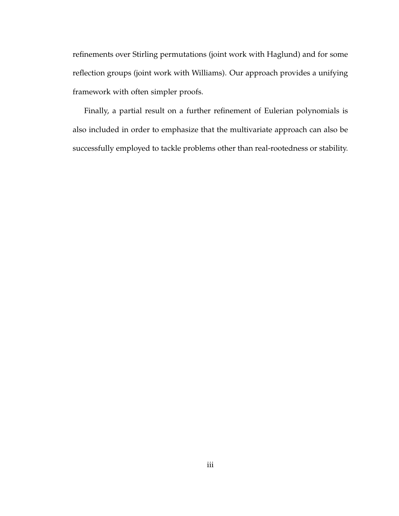refinements over Stirling permutations (joint work with Haglund) and for some reflection groups (joint work with Williams). Our approach provides a unifying framework with often simpler proofs.

Finally, a partial result on a further refinement of Eulerian polynomials is also included in order to emphasize that the multivariate approach can also be successfully employed to tackle problems other than real-rootedness or stability.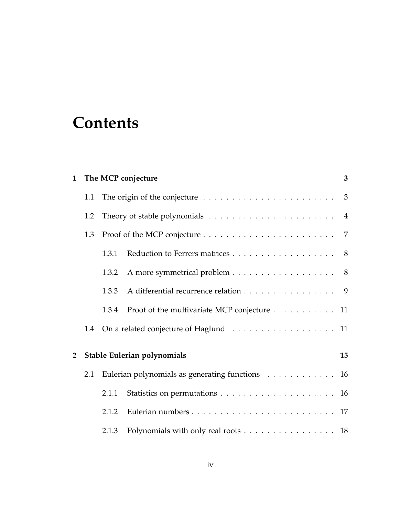# **Contents**

| $\mathbf{1}$   |     |       | 3<br>The MCP conjecture                                                              |    |  |  |  |  |  |  |
|----------------|-----|-------|--------------------------------------------------------------------------------------|----|--|--|--|--|--|--|
|                | 1.1 |       | The origin of the conjecture $\dots \dots \dots \dots \dots \dots \dots \dots \dots$ |    |  |  |  |  |  |  |
|                | 1.2 |       |                                                                                      |    |  |  |  |  |  |  |
|                | 1.3 |       |                                                                                      |    |  |  |  |  |  |  |
|                |     | 1.3.1 | Reduction to Ferrers matrices 8                                                      |    |  |  |  |  |  |  |
|                |     | 1.3.2 | A more symmetrical problem 8                                                         |    |  |  |  |  |  |  |
|                |     | 1.3.3 | A differential recurrence relation 9                                                 |    |  |  |  |  |  |  |
|                |     | 1.3.4 | Proof of the multivariate MCP conjecture 11                                          |    |  |  |  |  |  |  |
|                | 1.4 |       | On a related conjecture of Haglund 11                                                |    |  |  |  |  |  |  |
| $\overline{2}$ |     |       | Stable Eulerian polynomials                                                          | 15 |  |  |  |  |  |  |
|                | 2.1 |       | Eulerian polynomials as generating functions 16                                      |    |  |  |  |  |  |  |
|                |     | 2.1.1 |                                                                                      |    |  |  |  |  |  |  |
|                |     | 2.1.2 |                                                                                      |    |  |  |  |  |  |  |
|                |     | 2.1.3 | Polynomials with only real roots 18                                                  |    |  |  |  |  |  |  |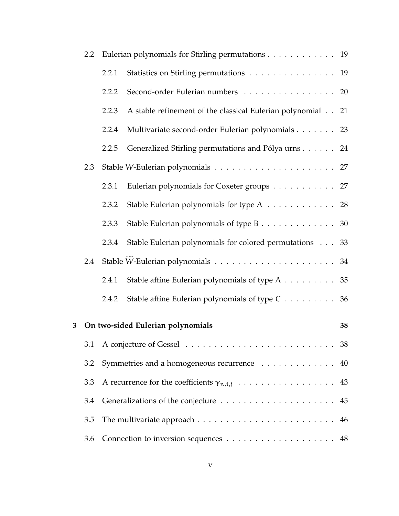|   | $2.2\phantom{0}$ |       | Eulerian polynomials for Stirling permutations 19           |    |
|---|------------------|-------|-------------------------------------------------------------|----|
|   |                  | 2.2.1 | Statistics on Stirling permutations 19                      |    |
|   |                  | 2.2.2 | Second-order Eulerian numbers 20                            |    |
|   |                  | 2.2.3 | A stable refinement of the classical Eulerian polynomial 21 |    |
|   |                  | 2.2.4 | Multivariate second-order Eulerian polynomials 23           |    |
|   |                  | 2.2.5 | Generalized Stirling permutations and Pólya urns 24         |    |
|   | 2.3              |       |                                                             |    |
|   |                  | 2.3.1 | Eulerian polynomials for Coxeter groups 27                  |    |
|   |                  | 2.3.2 | Stable Eulerian polynomials for type A 28                   |    |
|   |                  | 2.3.3 | Stable Eulerian polynomials of type B 30                    |    |
|   |                  | 2.3.4 | Stable Eulerian polynomials for colored permutations 33     |    |
|   | 2.4              |       |                                                             |    |
|   |                  | 2.4.1 | Stable affine Eulerian polynomials of type A 35             |    |
|   |                  | 2.4.2 | Stable affine Eulerian polynomials of type C 36             |    |
| 3 |                  |       | On two-sided Eulerian polynomials                           | 38 |
|   | 3.1              |       |                                                             |    |
|   | 3.2              |       | Symmetries and a homogeneous recurrence 40                  |    |
|   | 3.3              |       | A recurrence for the coefficients $\gamma_{n,i,j}$ 43       |    |
|   | 3.4              |       |                                                             |    |
|   | 3.5              |       |                                                             |    |
|   | 3.6              |       |                                                             |    |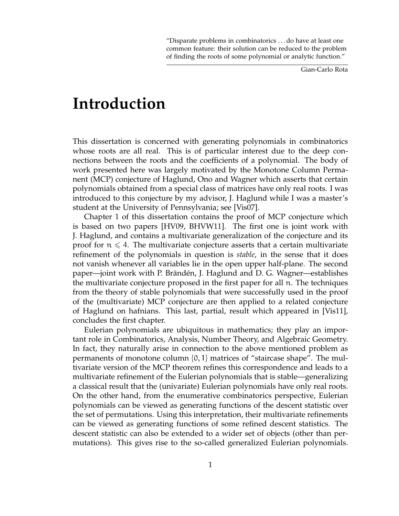"Disparate problems in combinatorics . . . do have at least one common feature: their solution can be reduced to the problem of finding the roots of some polynomial or analytic function."

Gian-Carlo Rota

# **Introduction**

This dissertation is concerned with generating polynomials in combinatorics whose roots are all real. This is of particular interest due to the deep connections between the roots and the coefficients of a polynomial. The body of work presented here was largely motivated by the Monotone Column Permanent (MCP) conjecture of Haglund, Ono and Wagner which asserts that certain polynomials obtained from a special class of matrices have only real roots. I was introduced to this conjecture by my advisor, J. Haglund while I was a master's student at the University of Pennsylvania; see [Vis07].

Chapter 1 of this dissertation contains the proof of MCP conjecture which is based on two papers [HV09, BHVW11]. The first one is joint work with J. Haglund, and contains a multivariate generalization of the conjecture and its proof for  $n \leq 4$ . The multivariate conjecture asserts that a certain multivariate refinement of the polynomials in question is *stable*, in the sense that it does not vanish whenever all variables lie in the open upper half-plane. The second paper—joint work with P. Brändén, J. Haglund and D. G. Wagner—establishes the multivariate conjecture proposed in the first paper for all n. The techniques from the theory of stable polynomials that were successfully used in the proof of the (multivariate) MCP conjecture are then applied to a related conjecture of Haglund on hafnians. This last, partial, result which appeared in [Vis11], concludes the first chapter.

Eulerian polynomials are ubiquitous in mathematics; they play an important role in Combinatorics, Analysis, Number Theory, and Algebraic Geometry. In fact, they naturally arise in connection to the above mentioned problem as permanents of monotone column  $\{0, 1\}$  matrices of "staircase shape". The multivariate version of the MCP theorem refines this correspondence and leads to a multivariate refinement of the Eulerian polynomials that is stable—generalizing a classical result that the (univariate) Eulerian polynomials have only real roots. On the other hand, from the enumerative combinatorics perspective, Eulerian polynomials can be viewed as generating functions of the descent statistic over the set of permutations. Using this interpretation, their multivariate refinements can be viewed as generating functions of some refined descent statistics. The descent statistic can also be extended to a wider set of objects (other than permutations). This gives rise to the so-called generalized Eulerian polynomials.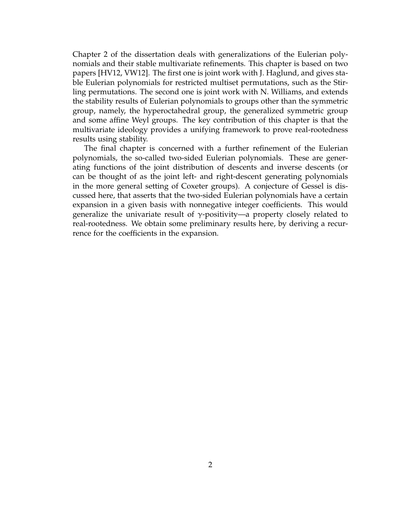Chapter 2 of the dissertation deals with generalizations of the Eulerian polynomials and their stable multivariate refinements. This chapter is based on two papers [HV12, VW12]. The first one is joint work with J. Haglund, and gives stable Eulerian polynomials for restricted multiset permutations, such as the Stirling permutations. The second one is joint work with N. Williams, and extends the stability results of Eulerian polynomials to groups other than the symmetric group, namely, the hyperoctahedral group, the generalized symmetric group and some affine Weyl groups. The key contribution of this chapter is that the multivariate ideology provides a unifying framework to prove real-rootedness results using stability.

The final chapter is concerned with a further refinement of the Eulerian polynomials, the so-called two-sided Eulerian polynomials. These are generating functions of the joint distribution of descents and inverse descents (or can be thought of as the joint left- and right-descent generating polynomials in the more general setting of Coxeter groups). A conjecture of Gessel is discussed here, that asserts that the two-sided Eulerian polynomials have a certain expansion in a given basis with nonnegative integer coefficients. This would generalize the univariate result of  $\gamma$ -positivity—a property closely related to real-rootedness. We obtain some preliminary results here, by deriving a recurrence for the coefficients in the expansion.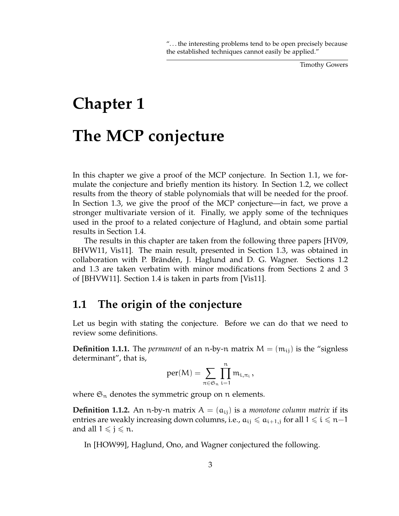Timothy Gowers

# **Chapter 1 The MCP conjecture**

In this chapter we give a proof of the MCP conjecture. In Section 1.1, we formulate the conjecture and briefly mention its history. In Section 1.2, we collect results from the theory of stable polynomials that will be needed for the proof. In Section 1.3, we give the proof of the MCP conjecture—in fact, we prove a stronger multivariate version of it. Finally, we apply some of the techniques used in the proof to a related conjecture of Haglund, and obtain some partial results in Section 1.4.

The results in this chapter are taken from the following three papers [HV09, BHVW11, Vis11]. The main result, presented in Section 1.3, was obtained in collaboration with P. Brändén, J. Haglund and D. G. Wagner. Sections 1.2 and 1.3 are taken verbatim with minor modifications from Sections 2 and 3 of [BHVW11]. Section 1.4 is taken in parts from [Vis11].

# **1.1 The origin of the conjecture**

Let us begin with stating the conjecture. Before we can do that we need to review some definitions.

**Definition 1.1.1.** The *permanent* of an n-by-n matrix  $M = (m_{ij})$  is the "signless" determinant", that is,

$$
per(M)=\sum_{\pi\in\mathfrak{S}_n}\prod_{i=1}^nm_{i,\pi_i}\,,
$$

where  $\mathfrak{S}_n$  denotes the symmetric group on n elements.

**Definition 1.1.2.** An n-by-n matrix  $A = (a_{ij})$  is a *monotone column matrix* if its entries are weakly increasing down columns, i.e.,  $a_{ij} \le a_{i+1,j}$  for all  $1 \le i \le n-1$ and all  $1 \leqslant j \leqslant n$ .

In [HOW99], Haglund, Ono, and Wagner conjectured the following.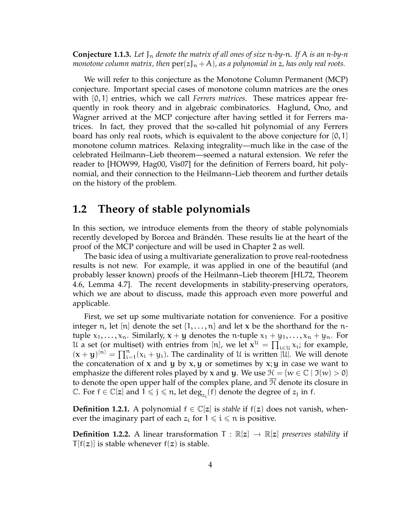**Conjecture 1.1.3.** *Let* J<sup>n</sup> *denote the matrix of all ones of size* n*-by-*n*. If* A *is an n-by-n monotone column matrix, then*  $\text{per}(z)_{n} + A$ *), as a polynomial in z, has only real roots.* 

We will refer to this conjecture as the Monotone Column Permanent (MCP) conjecture. Important special cases of monotone column matrices are the ones with {0, 1} entries, which we call *Ferrers matrices*. These matrices appear frequently in rook theory and in algebraic combinatorics. Haglund, Ono, and Wagner arrived at the MCP conjecture after having settled it for Ferrers matrices. In fact, they proved that the so-called hit polynomial of any Ferrers board has only real roots, which is equivalent to the above conjecture for  $\{0, 1\}$ monotone column matrices. Relaxing integrality—much like in the case of the celebrated Heilmann–Lieb theorem—seemed a natural extension. We refer the reader to [HOW99, Hag00, Vis07] for the definition of Ferrers board, hit polynomial, and their connection to the Heilmann–Lieb theorem and further details on the history of the problem.

# **1.2 Theory of stable polynomials**

In this section, we introduce elements from the theory of stable polynomials recently developed by Borcea and Brändén. These results lie at the heart of the proof of the MCP conjecture and will be used in Chapter 2 as well.

The basic idea of using a multivariate generalization to prove real-rootedness results is not new. For example, it was applied in one of the beautiful (and probably lesser known) proofs of the Heilmann–Lieb theorem [HL72, Theorem 4.6, Lemma 4.7]. The recent developments in stability-preserving operators, which we are about to discuss, made this approach even more powerful and applicable.

First, we set up some multivariate notation for convenience. For a positive integer n, let [n] denote the set  $\{1, \ldots, n\}$  and let x be the shorthand for the ntuple  $x_1, \ldots, x_n$ . Similarly,  $x + y$  denotes the n-tuple  $x_1 + y_1, \ldots, x_n + y_n$ . For U a set (or multiset) with entries from [n], we let  $x^{\mathfrak{U}} = \prod_{i \in \mathfrak{U}} x_i$ ; for example,  $(x + y)^{[n]} = \prod_{i=1}^{n} (x_i + y_i)$ . The cardinality of U is written  $|\mathcal{U}|$ . We will denote the concatenation of x and y by  $x, y$  or sometimes by  $x, y$  in case we want to emphasize the different roles played by **x** and **y**. We use  $\mathcal{H} = \{w \in \mathbb{C} \mid \mathfrak{I}(w) > 0\}$ to denote the open upper half of the complex plane, and  $H$  denote its closure in  $\mathbb C$ . For  $f \in \mathbb C[z]$  and  $\hat{1} \leqslant j \leqslant n$ , let  $\deg_{z_j}(f)$  denote the degree of  $z_j$  in  $f$ .

**Definition 1.2.1.** A polynomial  $f \in \mathbb{C}[z]$  is *stable* if  $f(z)$  does not vanish, whenever the imaginary part of each  $z_i$  for  $1 \leq i \leq n$  is positive.

**Definition 1.2.2.** A linear transformation  $T : \mathbb{R}[z] \to \mathbb{R}[z]$  *preserves stability* if  $T[f(z)]$  is stable whenever  $f(z)$  is stable.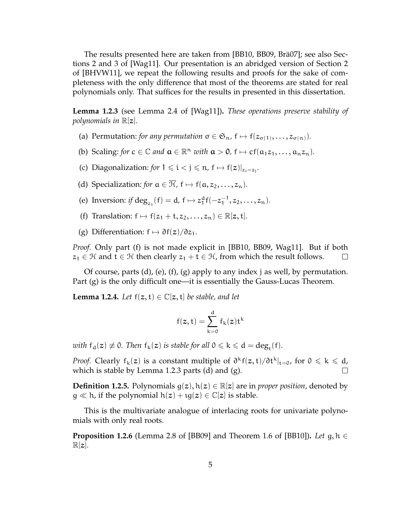The results presented here are taken from [BB10, BB09, Brä07]; see also Sections 2 and 3 of [Wag11]. Our presentation is an abridged version of Section 2 of [BHVW11], we repeat the following results and proofs for the sake of completeness with the only difference that most of the theorems are stated for real polynomials only. That suffices for the results in presented in this dissertation.

**Lemma 1.2.3** (see Lemma 2.4 of [Wag11])**.** *These operations preserve stability of polynomials in* R[z]*.*

- (a) Permutation: *for any permutation*  $\sigma \in \mathfrak{S}_n$ ,  $f \mapsto f(z_{\sigma(1)}, \ldots, z_{\sigma(n)})$ *.*
- (b) Scaling: *for*  $c \in \mathbb{C}$  *and*  $\mathbf{a} \in \mathbb{R}^n$  *with*  $\mathbf{a} > 0$ ,  $f \mapsto cf(a_1z_1, \dots, a_nz_n)$ .
- (c) Diagonalization: *for*  $1 \le i < j \le n$ ,  $f \mapsto f(z)|_{z_i=z_j}$ .
- (d) Specialization: *for*  $a \in \overline{\mathcal{H}}$ ,  $f \mapsto f(a, z_2, ..., z_n)$ .
- (e) Inversion: *if* deg<sub>z<sub>1</sub></sub>(f) = d, f  $\mapsto$  z<sub>1</sub><sup>d</sup>f(-z<sub>1</sub><sup>-1</sup>)  $\frac{-1}{1}, z_2, \ldots, z_n$ ).
- (f) Translation:  $f \mapsto f(z_1 + t, z_2, \ldots, z_n) \in \mathbb{R}[z, t]$ *.*
- (g) Differentiation:  $f \mapsto \partial f(z)/\partial z_1$ .

*Proof.* Only part (f) is not made explicit in [BB10, BB09, Wag11]. But if both  $z_1 \in \mathcal{H}$  and  $t \in \mathcal{H}$  then clearly  $z_1 + t \in \mathcal{H}$ , from which the result follows.  $\Box$ 

Of course, parts (d), (e), (f), (g) apply to any index j as well, by permutation. Part (g) is the only difficult one—it is essentially the Gauss-Lucas Theorem.

**Lemma 1.2.4.** *Let*  $f(z, t) \in \mathbb{C}[z, t]$  *be stable, and let* 

$$
f(z,t)=\sum_{k=0}^d f_k(z)t^k
$$

*with*  $f_d(z) \neq 0$ *. Then*  $f_k(z)$  *is stable for all*  $0 \leq k \leq d = deg_t(f)$ *.* 

*Proof.* Clearly  $f_k(z)$  is a constant multiple of  $\frac{\partial^k f(z,t)}{\partial t^k}\Big|_{t=0}$ , for  $0 \leq k \leq d$ , which is stable by Lemma 1.2.3 parts (d) and (g).  $\Box$ 

**Definition 1.2.5.** Polynomials  $g(z)$ ,  $h(z) \in \mathbb{R}[z]$  are in *proper position*, denoted by  $g \ll h$ , if the polynomial  $h(z) + \iota g(z) \in \mathbb{C}[z]$  is stable.

This is the multivariate analogue of interlacing roots for univariate polynomials with only real roots.

**Proposition 1.2.6** (Lemma 2.8 of [BB09] and Theorem 1.6 of [BB10])**.** *Let* g, h ∈  $\mathbb{R}[z]$ .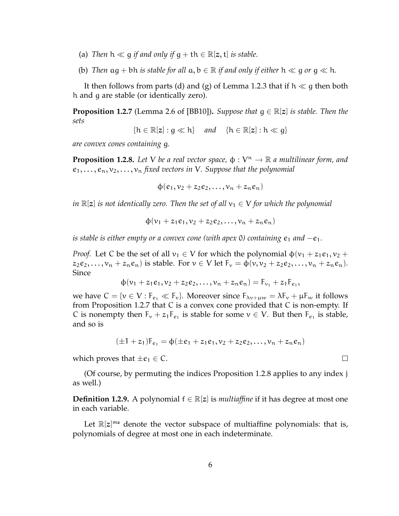- (a) *Then*  $h \ll q$  *if and only if*  $q + th \in \mathbb{R}[z, t]$  *is stable.*
- (b) Then  $\alpha q + b h$  *is stable for all*  $\alpha, b \in \mathbb{R}$  *if and only if either*  $h \ll q$  *or*  $q \ll h$ *.*

It then follows from parts (d) and (g) of Lemma 1.2.3 that if  $h \ll g$  then both h and g are stable (or identically zero).

**Proposition 1.2.7** (Lemma 2.6 of [BB10]). *Suppose that*  $q \in \mathbb{R}[z]$  *is stable. Then the sets*

$$
\{h\in\mathbb{R}[z]:g\ll h\}\quad\text{and}\quad\{h\in\mathbb{R}[z]:h\ll g\}
$$

*are convex cones containing* g*.*

**Proposition 1.2.8.** Let V be a real vector space,  $\phi : V^n \to \mathbb{R}$  a multilinear form, and  $e_1, \ldots, e_n, v_2, \ldots, v_n$  *fixed vectors in V. Suppose that the polynomial* 

 $\phi(e_1, v_2 + z_2e_2, \ldots, v_n + z_ne_n)$ 

*in*  $\mathbb{R}[z]$  *is not identically zero. Then the set of all*  $v_1 \in V$  *for which the polynomial* 

$$
\varphi(\nu_1+z_1e_1,\nu_2+z_2e_2,\ldots,\nu_n+z_ne_n)
$$

*is stable is either empty or a convex cone (with apex 0) containing e<sub>1</sub> and −e<sub>1</sub>.* 

*Proof.* Let C be the set of all  $v_1 \in V$  for which the polynomial  $\phi(v_1 + z_1e_1, v_2 +$  $z_2e_2,\ldots,v_n+z_ne_n$ ) is stable. For  $v\in V$  let  $F_v=\phi(v,v_2+z_2e_2,\ldots,v_n+z_ne_n)$ . Since

$$
\Phi(\nu_1 + z_1 e_1, \nu_2 + z_2 e_2, \dots, \nu_n + z_n e_n) = F_{\nu_1} + z_1 F_{e_1},
$$

we have  $C = \{v \in V : F_{\epsilon_1} \ll F_v\}$ . Moreover since  $F_{\lambda v + \mu w} = \lambda F_v + \mu F_w$  it follows from Proposition 1.2.7 that C is a convex cone provided that C is non-empty. If C is nonempty then  $F_v + z_1 F_{e_1}$  is stable for some  $v \in V$ . But then  $F_{e_1}$  is stable, and so is

$$
(\pm 1 + z_1)F_{e_1} = \phi(\pm e_1 + z_1e_1, v_2 + z_2e_2, \ldots, v_n + z_ne_n)
$$

 $\Box$ 

which proves that  $\pm e_1 \in \mathcal{C}$ .

(Of course, by permuting the indices Proposition 1.2.8 applies to any index j as well.)

**Definition 1.2.9.** A polynomial  $f \in \mathbb{R}[z]$  is *multiaffine* if it has degree at most one in each variable.

Let  $\mathbb{R}[z]^{m}$  denote the vector subspace of multiaffine polynomials: that is, polynomials of degree at most one in each indeterminate.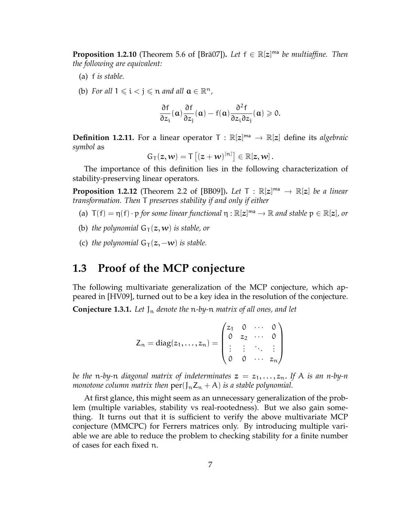**Proposition 1.2.10** (Theorem 5.6 of [Brä07]). Let  $f \in \mathbb{R}[z]^{m}$  be multiaffine. Then *the following are equivalent:*

- (a) f *is stable.*
- (b) *For all*  $1 \le i < j \le n$  *and all*  $a \in \mathbb{R}^n$ *,*

$$
\frac{\partial f}{\partial z_i}(\alpha)\frac{\partial f}{\partial z_j}(\alpha)-f(\alpha)\frac{\partial^2 f}{\partial z_i\partial z_j}(\alpha)\geqslant 0.
$$

**Definition 1.2.11.** For a linear operator  $T : \mathbb{R}[z]^m \to \mathbb{R}[z]$  define its *algebraic symbol* as

$$
G_T(z,w)=T\left[(z+w)^{[n]}\right]\in\mathbb{R}[z,w].
$$

The importance of this definition lies in the following characterization of stability-preserving linear operators.

**Proposition 1.2.12** (Theorem 2.2 of [BB09]). *Let*  $T : \mathbb{R}[z]^{\text{ma}} \to \mathbb{R}[z]$  *be a linear* transformation. Then  $T$  among the bility if and only if either *transformation. Then* T *preserves stability if and only if either*

- (a)  $T(f) = \eta(f) \cdot p$  *for some linear functional*  $\eta : \mathbb{R}[z]^{m} \to \mathbb{R}$  *and stable*  $p \in \mathbb{R}[z]$ *, or*
- (b) *the polynomial*  $G_T(z, w)$  *is stable, or*
- (c) *the polynomial*  $G_T(z, -w)$  *is stable.*

# **1.3 Proof of the MCP conjecture**

The following multivariate generalization of the MCP conjecture, which appeared in [HV09], turned out to be a key idea in the resolution of the conjecture.

**Conjecture 1.3.1.** Let  $J_n$  denote the n-by-n matrix of all ones, and let

$$
Z_n = \text{diag}(z_1, \ldots, z_n) = \begin{pmatrix} z_1 & 0 & \cdots & 0 \\ 0 & z_2 & \cdots & 0 \\ \vdots & \vdots & \ddots & \vdots \\ 0 & 0 & \cdots & z_n \end{pmatrix}
$$

*be the* n-by-n *diagonal matrix of indeterminates*  $z = z_1, \ldots, z_n$ . If A *is an n-by-n monotone column matrix then*  $\text{per}(J_n Z_n + A)$  *is a stable polynomial.* 

At first glance, this might seem as an unnecessary generalization of the problem (multiple variables, stability vs real-rootedness). But we also gain something. It turns out that it is sufficient to verify the above multivariate MCP conjecture (MMCPC) for Ferrers matrices only. By introducing multiple variable we are able to reduce the problem to checking stability for a finite number of cases for each fixed n.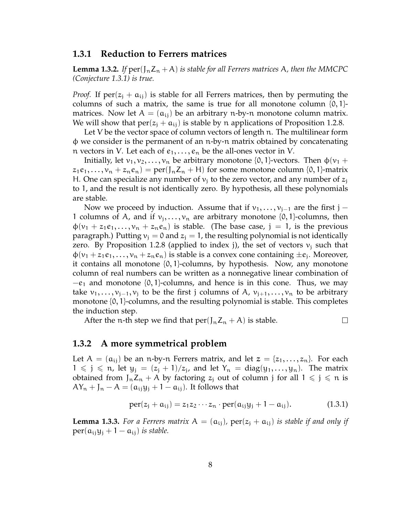#### **1.3.1 Reduction to Ferrers matrices**

**Lemma 1.3.2.** If  $per(I_n Z_n + A)$  is stable for all Ferrers matrices A, then the MMCPC *(Conjecture 1.3.1) is true.*

*Proof.* If  $per(z_i + a_{ii})$  is stable for all Ferrers matrices, then by permuting the columns of such a matrix, the same is true for all monotone column  $\{0, 1\}$ matrices. Now let  $A = (a_{ij})$  be an arbitrary n-by-n monotone column matrix. We will show that  $per(z_i + a_{ij})$  is stable by n applications of Proposition 1.2.8.

Let V be the vector space of column vectors of length n. The multilinear form φ we consider is the permanent of an n-by-n matrix obtained by concatenating n vectors in V. Let each of  $e_1, \ldots, e_n$  be the all-ones vector in V.

Initially, let  $v_1, v_2, \ldots, v_n$  be arbitrary monotone {0, 1}-vectors. Then  $\phi(v_1 +$  $z_1e_1, \ldots, v_n + z_ne_n$  = per( $J_nZ_n + H$ ) for some monotone column {0, 1}-matrix H. One can specialize any number of  $v_i$  to the zero vector, and any number of  $z_i$ to 1, and the result is not identically zero. By hypothesis, all these polynomials are stable.

Now we proceed by induction. Assume that if  $v_1, \ldots, v_{i-1}$  are the first j – 1 columns of A, and if  $v_j, \ldots, v_n$  are arbitrary monotone  $\{0, 1\}$ -columns, then  $\phi(v_1 + z_1e_1, \ldots, v_n + z_ne_n)$  is stable. (The base case, j = 1, is the previous paragraph.) Putting  $v_i = 0$  and  $z_i = 1$ , the resulting polynomial is not identically zero. By Proposition 1.2.8 (applied to index j), the set of vectors  $v_i$  such that  $\phi(v_1 + z_1 e_1, \ldots, v_n + z_n e_n)$  is stable is a convex cone containing  $\pm e_j$ . Moreover, it contains all monotone  $\{0, 1\}$ -columns, by hypothesis. Now, any monotone column of real numbers can be written as a nonnegative linear combination of  $-e_1$  and monotone {0, 1}-columns, and hence is in this cone. Thus, we may take  $v_1, \ldots, v_{i-1}, v_i$  to be the first j columns of A,  $v_{i+1}, \ldots, v_n$  to be arbitrary monotone {0, 1}-columns, and the resulting polynomial is stable. This completes the induction step.

After the n-th step we find that  $per(J_nZ_n + A)$  is stable.

#### **1.3.2 A more symmetrical problem**

Let  $A = (a_{ij})$  be an n-by-n Ferrers matrix, and let  $z = \{z_1, \ldots, z_n\}$ . For each  $1 \leq j \leq n$ , let  $y_j = (z_j + 1)/z_j$ , and let  $Y_n = \text{diag}(y_1, \ldots, y_n)$ . The matrix obtained from  $J_nZ_n + A$  by factoring  $z_i$  out of column j for all  $1 \leq j \leq n$  is  $AY_n + J_n - A = (a_{ij}y_j + 1 - a_{ij}).$  It follows that

$$
per(z_j + a_{ij}) = z_1 z_2 \cdots z_n \cdot per(a_{ij} y_j + 1 - a_{ij}). \qquad (1.3.1)
$$

 $\Box$ 

**Lemma 1.3.3.** For a Ferrers matrix  $A = (a_{ij})$ ,  $per(z_j + a_{ij})$  is stable if and only if  $per(a_{ii}y_i + 1 - a_{ii})$  *is stable.*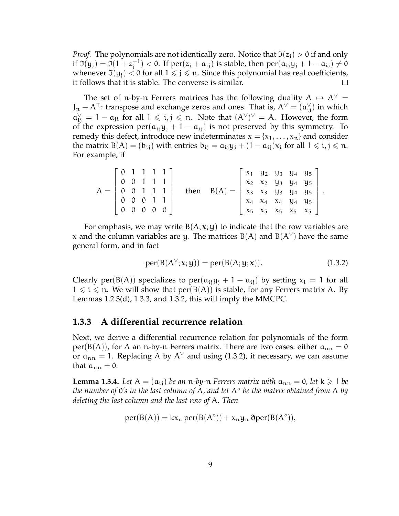*Proof.* The polynomials are not identically zero. Notice that  $\mathfrak{I}(z_i) > 0$  if and only if  $\mathfrak{I}(y_j) = \bar{\mathfrak{I}}(1 + z_i^{-1})$  $j_j^{(-1)} < 0$ . If  $\text{per}(z_j + a_{ij})$  is stable, then  $\text{per}(a_{ij}y_j + 1 - a_{ij}) \neq 0$ whenever  $\mathfrak{I}(y_i) < 0$  for all  $1 \leq j \leq n$ . Since this polynomial has real coefficients, it follows that it is stable. The converse is similar.  $\Box$ 

The set of n-by-n Ferrers matrices has the following duality  $A \mapsto A^{\vee} =$  $J_n - A^{\top}$ : transpose and exchange zeros and ones. That is,  $A^{\vee} = (\mathfrak{a}_{ij}^{\vee})$  in which  $a_{ij}^{\vee} = 1 - a_{ji}$  for all  $1 \leq i, j \leq n$ . Note that  $(A^{\vee})^{\vee} = A$ . However, the form of the expression per( $a_{ij}y_j + 1 - a_{ij}$ ) is not preserved by this symmetry. To remedy this defect, introduce new indeterminates  $\mathbf{x} = \{x_1, \dots, x_n\}$  and consider the matrix  $B(A) = (b_{ij})$  with entries  $b_{ij} = a_{ij}y_j + (1 - a_{ij})x_i$  for all  $1 \leq i, j \leq n$ . For example, if

|                                            |                   |                                     | $\begin{bmatrix} 0 & 1 & 1 & 1 & 1 \end{bmatrix}$ |      |          |                                                                                               |  |                                                                            | $x_1$ $y_2$ $y_3$ $y_4$ $y_5$   |  |
|--------------------------------------------|-------------------|-------------------------------------|---------------------------------------------------|------|----------|-----------------------------------------------------------------------------------------------|--|----------------------------------------------------------------------------|---------------------------------|--|
| $A = \begin{pmatrix} 0 \\ 0 \end{pmatrix}$ |                   | 0 0 1 1 1                           |                                                   | then | $B(A) =$ | $x_1$ x <sub>2</sub> x <sub>2</sub> y <sub>3</sub> y <sub>4</sub> y <sub>5</sub> <sup>1</sup> |  |                                                                            |                                 |  |
|                                            | $\mathcal{O}$     |                                     |                                                   |      |          |                                                                                               |  |                                                                            | $x_3$ $x_3$ $y_3$ $y_4$ $y_5$ . |  |
|                                            | $0\quad 0\quad 0$ |                                     |                                                   |      |          |                                                                                               |  | x <sub>4</sub> x <sub>4</sub> x <sub>4</sub> y <sub>4</sub> y <sub>5</sub> |                                 |  |
|                                            |                   | $0 \quad 0 \quad 0 \quad 0 \quad 0$ |                                                   |      |          | $\begin{array}{ccc} \begin{array}{ccc} x_5 & x_5 & x_5 & x_5 & x_5 \end{array} \end{array}$   |  |                                                                            |                                 |  |

For emphasis, we may write  $B(A; x; y)$  to indicate that the row variables are x and the column variables are y. The matrices  $B(A)$  and  $B(A^{\vee})$  have the same general form, and in fact

$$
per(B(A^{\vee}; x; y)) = per(B(A; y; x)). \qquad (1.3.2)
$$

Clearly per(B(A)) specializes to per( $a_{i}$ ;  $y_i$  + 1 –  $a_{i}$ ) by setting  $x_i$  = 1 for all  $1 \leq i \leq n$ . We will show that  $per(B(A))$  is stable, for any Ferrers matrix A. By Lemmas 1.2.3(d), 1.3.3, and 1.3.2, this will imply the MMCPC.

#### **1.3.3 A differential recurrence relation**

Next, we derive a differential recurrence relation for polynomials of the form per(B(A)), for A an n-by-n Ferrers matrix. There are two cases: either  $a_{nn} = 0$ or  $a_{nn} = 1$ . Replacing A by A<sup> $\vee$ </sup> and using (1.3.2), if necessary, we can assume that  $a_{nn} = 0$ .

**Lemma 1.3.4.** Let  $A = (a_{ij})$  be an n-by-n Ferrers matrix with  $a_{nn} = 0$ , let  $k \geq 1$  be *the number of* 0*'s in the last column of* A*, and let* A◦ *be the matrix obtained from* A *by deleting the last column and the last row of* A*. Then*

$$
per(B(A)) = kx_n per(B(A^{\circ})) + x_n y_n \text{ } \partial per(B(A^{\circ})),
$$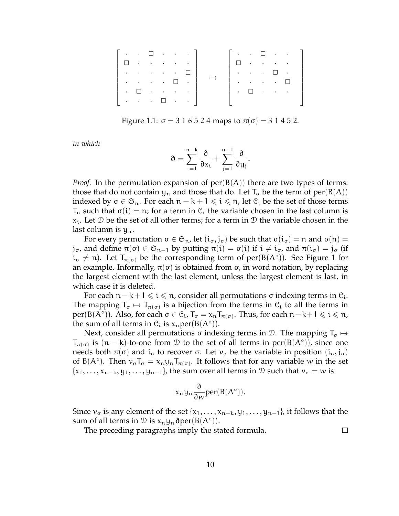|           |        |                                                                                                                                   |        | $\cdot$ $\cdot$ $\Box$ $\cdot$ $\cdot$ $\cdot$ $\cdot$ $\parallel$                    |   | $\alpha_{\rm{max}}$ , $\alpha_{\rm{max}}$                   |                                                                                                                                |        |                                                                                       |  |
|-----------|--------|-----------------------------------------------------------------------------------------------------------------------------------|--------|---------------------------------------------------------------------------------------|---|-------------------------------------------------------------|--------------------------------------------------------------------------------------------------------------------------------|--------|---------------------------------------------------------------------------------------|--|
|           |        | the contract of the contract of the contract of the contract of the contract of the contract of the contract of                   |        |                                                                                       |   |                                                             | $\mathcal{A}(\mathcal{A})$ and $\mathcal{A}(\mathcal{A})$ and $\mathcal{A}(\mathcal{A})$                                       |        |                                                                                       |  |
| $\sim$    |        | $\mathcal{L}^{\mathcal{A}}$ , and $\mathcal{L}^{\mathcal{A}}$ , and $\mathcal{L}^{\mathcal{A}}$ , and $\mathcal{L}^{\mathcal{A}}$ |        |                                                                                       | ٠ | $\mathcal{L}(\mathcal{A})$ , and $\mathcal{A}(\mathcal{A})$ |                                                                                                                                | $\Box$ | $\sim 100$ km s $^{-1}$                                                               |  |
| $\sim$    |        | $\mathcal{L}(\mathcal{A})$ and $\mathcal{L}(\mathcal{A})$ . Then                                                                  | $\Box$ | $\sim$ $\sim$                                                                         |   |                                                             | $\mathcal{L}^{\mathcal{A}}(\mathcal{A})$ , $\mathcal{A}^{\mathcal{A}}(\mathcal{A})$ , $\mathcal{A}^{\mathcal{A}}(\mathcal{A})$ |        | $\Box$                                                                                |  |
| $\bullet$ | $\Box$ |                                                                                                                                   |        | $\mathcal{A}(\mathbf{a})$ and $\mathcal{A}(\mathbf{a})$ and $\mathcal{A}(\mathbf{a})$ | ٠ | $\Box$                                                      |                                                                                                                                |        | $\mathcal{L}(\mathbf{z})$ and $\mathcal{L}(\mathbf{z})$ and $\mathcal{L}(\mathbf{z})$ |  |
|           |        | $\mathcal{A}=\mathcal{A}=\mathcal{A}=\mathcal{A}=\mathcal{A}$ .                                                                   |        | $\epsilon_{\rm{max}}$ , $\epsilon_{\rm{max}}$                                         |   |                                                             |                                                                                                                                |        |                                                                                       |  |

Figure 1.1:  $\sigma = 316524$  maps to  $\pi(\sigma) = 31452$ .

*in which*

$$
\mathfrak{d}=\sum_{i=1}^{n-k}\frac{\partial}{\partial x_i}+\sum_{j=1}^{n-1}\frac{\partial}{\partial y_j}.
$$

*Proof.* In the permutation expansion of  $per(B(A))$  there are two types of terms: those that do not contain  $y_n$  and those that do. Let  $T_{\sigma}$  be the term of  $per(B(A))$ indexed by  $\sigma \in \mathfrak{S}_n$ . For each  $n - k + 1 \leq i \leq n$ , let  $\mathfrak{C}_i$  be the set of those terms  $T_{\sigma}$  such that  $\sigma(i) = n$ ; for a term in  $\mathcal{C}_i$  the variable chosen in the last column is  $x_i$ . Let D be the set of all other terms; for a term in D the variable chosen in the last column is  $y_n$ .

For every permutation  $\sigma \in \mathfrak{S}_n$ , let  $(i_{\sigma}, j_{\sigma})$  be such that  $\sigma(i_{\sigma}) = n$  and  $\sigma(n) =$  $j_{\sigma}$ , and define  $\pi(\sigma) \in \mathfrak{S}_{n-1}$  by putting  $\pi(i) = \sigma(i)$  if  $i \neq i_{\sigma}$ , and  $\pi(i_{\sigma}) = j_{\sigma}$  (if  $i_{\sigma} \neq n$ ). Let  $T_{\pi(\sigma)}$  be the corresponding term of per(B(A°)). See Figure 1 for an example. Informally,  $\pi(\sigma)$  is obtained from  $\sigma$ , in word notation, by replacing the largest element with the last element, unless the largest element is last, in which case it is deleted.

For each  $n-k+1 \le i \le n$ , consider all permutations σ indexing terms in  $\mathcal{C}_i$ . The mapping  $T_{\sigma} \mapsto T_{\pi(\sigma)}$  is a bijection from the terms in  $\mathcal{C}_i$  to all the terms in  $\text{per}( \text{B}(\bar{A}^\circ )).$  Also, for each  $\sigma \in \mathfrak{C}_\mathfrak{i}$ ,  $\mathfrak{T}_\sigma = \chi_\mathfrak{n} \mathfrak{T}_{\pi(\sigma)}.$  Thus, for each  $\mathfrak{n}-\mathsf{k}+1 \leqslant \mathfrak{i} \leqslant \mathfrak{n}$ , the sum of all terms in  $\mathcal{C}_i$  is  $x_n \text{per}(B(A^\circ)).$ 

Next, consider all permutations  $\sigma$  indexing terms in D. The mapping  $T_{\sigma} \mapsto$  $T_{\pi(\sigma)}$  is  $(n - k)$ -to-one from D to the set of all terms in  $per(B(A^{\circ}))$ , since one needs both  $\pi(\sigma)$  and  $i_{\sigma}$  to recover  $\sigma$ . Let  $v_{\sigma}$  be the variable in position  $(i_{\sigma}, j_{\sigma})$ of B(A<sup>°</sup>). Then  $v_{\sigma}T_{\sigma} = x_{n}y_{n}T_{\pi(\sigma)}$ . It follows that for any variable w in the set  ${x_1, \ldots, x_{n-k}, y_1, \ldots, y_{n-1}}$ , the sum over all terms in D such that  $v_\sigma = w$  is

$$
x_n y_n \frac{\partial}{\partial w} \text{per}(B(A^\circ)).
$$

Since  $v_{\sigma}$  is any element of the set  $\{x_1, \ldots, x_{n-k}, y_1, \ldots, y_{n-1}\}$ , it follows that the sum of all terms in  $\mathcal D$  is  $x_ny_n\partial per(B(A°))$ .

The preceding paragraphs imply the stated formula.

 $\Box$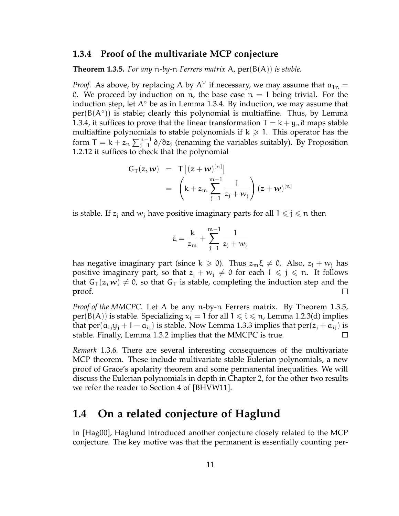#### **1.3.4 Proof of the multivariate MCP conjecture**

**Theorem 1.3.5.** *For any* n*-by-*n *Ferrers matrix* A*,* per(B(A)) *is stable.*

*Proof.* As above, by replacing A by  $A^{\vee}$  if necessary, we may assume that  $a_{1n} =$ 0. We proceed by induction on n, the base case  $n = 1$  being trivial. For the induction step, let  $A<sup>°</sup>$  be as in Lemma 1.3.4. By induction, we may assume that per(B(A°)) is stable; clearly this polynomial is multiaffine. Thus, by Lemma 1.3.4, it suffices to prove that the linear transformation  $T = k + y_n \partial$  maps stable multiaffine polynomials to stable polynomials if  $k \geq 1$ . This operator has the form T = k +  $z_n \sum_{j=1}^{n-1} \partial/\partial z_j$  (renaming the variables suitably). By Proposition 1.2.12 it suffices to check that the polynomial

$$
G_T(z, w) = T [(z + w)^{[n]}]
$$
  
=  $(k + z_m \sum_{j=1}^{m-1} \frac{1}{z_j + w_j}) (z + w)^{[n]}$ 

is stable. If  $z_i$  and  $w_i$  have positive imaginary parts for all  $1 \leq j \leq n$  then

$$
\xi = \frac{k}{z_m} + \sum_{j=1}^{m-1} \frac{1}{z_j + w_j}
$$

has negative imaginary part (since  $k \ge 0$ ). Thus  $z_m \xi \ne 0$ . Also,  $z_i + w_j$  has positive imaginary part, so that  $z_1 + w_1 \neq 0$  for each  $1 \leq j \leq n$ . It follows that  $G_T(z, w) \neq 0$ , so that  $G_T$  is stable, completing the induction step and the proof.  $\Box$ 

*Proof of the MMCPC.* Let A be any n-by-n Ferrers matrix. By Theorem 1.3.5, per(B(A)) is stable. Specializing  $x_i = 1$  for all  $1 \le i \le n$ , Lemma 1.2.3(d) implies that per( $a_{ij}y_i + 1 - a_{ij}$ ) is stable. Now Lemma 1.3.3 implies that per( $z_i + a_{ij}$ ) is stable. Finally, Lemma 1.3.2 implies that the MMCPC is true.  $\Box$ 

*Remark* 1.3.6*.* There are several interesting consequences of the multivariate MCP theorem. These include multivariate stable Eulerian polynomials, a new proof of Grace's apolarity theorem and some permanental inequalities. We will discuss the Eulerian polynomials in depth in Chapter 2, for the other two results we refer the reader to Section 4 of [BHVW11].

# **1.4 On a related conjecture of Haglund**

In [Hag00], Haglund introduced another conjecture closely related to the MCP conjecture. The key motive was that the permanent is essentially counting per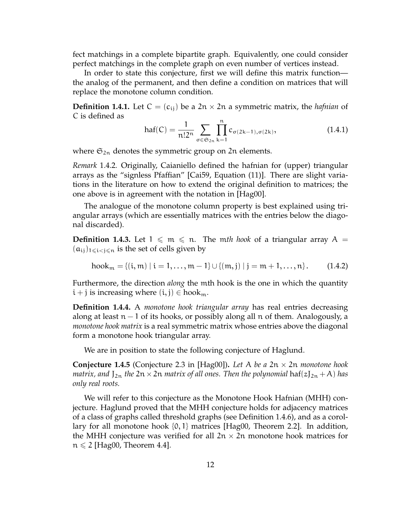fect matchings in a complete bipartite graph. Equivalently, one could consider perfect matchings in the complete graph on even number of vertices instead.

In order to state this conjecture, first we will define this matrix function the analog of the permanent, and then define a condition on matrices that will replace the monotone column condition.

**Definition 1.4.1.** Let  $C = (c_{ij})$  be a  $2n \times 2n$  a symmetric matrix, the *hafnian* of C is defined as Yn

$$
haf(C) = \frac{1}{n!2^n} \sum_{\sigma \in \mathfrak{S}_{2n}} \prod_{k=1}^n c_{\sigma(2k-1), \sigma(2k)},
$$
(1.4.1)

where  $\mathfrak{S}_{2n}$  denotes the symmetric group on 2n elements.

*Remark* 1.4.2*.* Originally, Caianiello defined the hafnian for (upper) triangular arrays as the "signless Pfaffian" [Cai59, Equation (11)]. There are slight variations in the literature on how to extend the original definition to matrices; the one above is in agreement with the notation in [Hag00].

The analogue of the monotone column property is best explained using triangular arrays (which are essentially matrices with the entries below the diagonal discarded).

**Definition 1.4.3.** Let  $1 \le m \le n$ . The mth hook of a triangular array A =  $(a_{ij})_{1\leqslant i < j \leqslant n}$  is the set of cells given by

$$
hook_m = \{(i, m) | i = 1, ..., m - 1\} \cup \{(m, j) | j = m + 1, ..., n\}.
$$
 (1.4.2)

Furthermore, the direction *along* the mth hook is the one in which the quantity  $i + j$  is increasing where  $(i, j) \in \text{hook}_{m}$ .

**Definition 1.4.4.** A *monotone hook triangular array* has real entries decreasing along at least  $n-1$  of its hooks, or possibly along all n of them. Analogously, a *monotone hook matrix* is a real symmetric matrix whose entries above the diagonal form a monotone hook triangular array.

We are in position to state the following conjecture of Haglund.

**Conjecture 1.4.5** (Conjecture 2.3 in [Hag00])**.** *Let* A *be a* 2n × 2n *monotone hook matrix, and*  $J_{2n}$  *the*  $2n \times 2n$  *matrix of all ones. Then the polynomial* haf( $zJ_{2n} + A$ ) *has only real roots.*

We will refer to this conjecture as the Monotone Hook Hafnian (MHH) conjecture. Haglund proved that the MHH conjecture holds for adjacency matrices of a class of graphs called threshold graphs (see Definition 1.4.6), and as a corollary for all monotone hook  $\{0,1\}$  matrices [Hag00, Theorem 2.2]. In addition, the MHH conjecture was verified for all  $2n \times 2n$  monotone hook matrices for  $n \leq 2$  [Hag00, Theorem 4.4].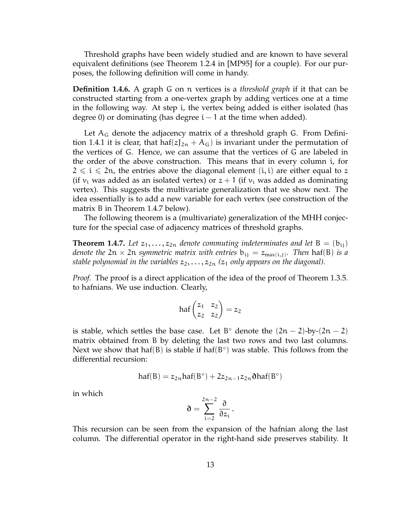Threshold graphs have been widely studied and are known to have several equivalent definitions (see Theorem 1.2.4 in [MP95] for a couple). For our purposes, the following definition will come in handy.

**Definition 1.4.6.** A graph G on n vertices is a *threshold graph* if it that can be constructed starting from a one-vertex graph by adding vertices one at a time in the following way. At step i, the vertex being added is either isolated (has degree 0) or dominating (has degree  $i - 1$  at the time when added).

Let  $A_G$  denote the adjacency matrix of a threshold graph G. From Definition 1.4.1 it is clear, that haf( $zJ_{2n}$  + A<sub>G</sub>) is invariant under the permutation of the vertices of G. Hence, we can assume that the vertices of G are labeled in the order of the above construction. This means that in every column i, for  $2 \leq i \leq 2n$ , the entries above the diagonal element  $(i, i)$  are either equal to z (if  $v_i$  was added as an isolated vertex) or  $z + 1$  (if  $v_i$  was added as dominating vertex). This suggests the multivariate generalization that we show next. The idea essentially is to add a new variable for each vertex (see construction of the matrix B in Theorem 1.4.7 below).

The following theorem is a (multivariate) generalization of the MHH conjecture for the special case of adjacency matrices of threshold graphs.

**Theorem 1.4.7.** Let  $z_1, \ldots, z_{2n}$  denote commuting indeterminates and let  $B = (b_{ij})$ *denote the*  $2n \times 2n$  *symmetric matrix with entries*  $b_{ij} = z_{max(i,j)}$ *. Then* haf(B) *is a stable polynomial in the variables*  $z_2, \ldots, z_{2n}$  ( $z_1$  *only appears on the diagonal).* 

*Proof.* The proof is a direct application of the idea of the proof of Theorem 1.3.5. to hafnians. We use induction. Clearly,

$$
\text{haf}\begin{pmatrix}z_1 & z_2\\ z_2 & z_2\end{pmatrix} = z_2
$$

is stable, which settles the base case. Let B<sup>o</sup> denote the  $(2n - 2)$ -by- $(2n - 2)$ matrix obtained from B by deleting the last two rows and two last columns. Next we show that haf(B) is stable if haf(B $\circ$ ) was stable. This follows from the differential recursion:

$$
haf(B)=z_{2n}haf(B^{\circ})+2z_{2n-1}z_{2n}\text{O}haf(B^{\circ})
$$

in which

$$
\mathfrak{d}=\sum_{i=2}^{2n-2}\frac{\partial}{\partial z_i}\,.
$$

This recursion can be seen from the expansion of the hafnian along the last column. The differential operator in the right-hand side preserves stability. It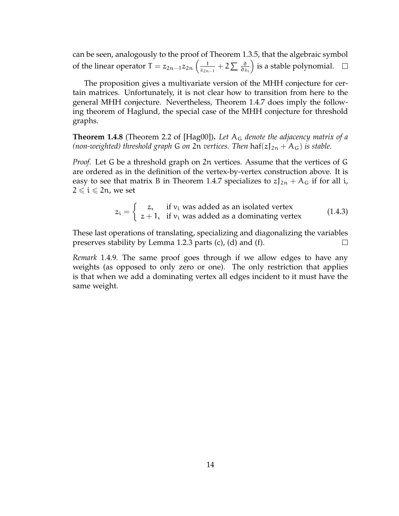can be seen, analogously to the proof of Theorem 1.3.5, that the algebraic symbol of the linear operator T =  $z_{2n-1}z_{2n}$   $\Big(\frac{1}{z_{2n}}\Big)$  $\frac{1}{z_{2n-1}}+2\sum \frac{\partial}{\partial z_i}$ is a stable polynomial.

The proposition gives a multivariate version of the MHH conjecture for certain matrices. Unfortunately, it is not clear how to transition from here to the general MHH conjecture. Nevertheless, Theorem 1.4.7 does imply the following theorem of Haglund, the special case of the MHH conjecture for threshold graphs.

**Theorem 1.4.8** (Theorem 2.2 of [Hag00])**.** *Let* A<sup>G</sup> *denote the adjacency matrix of a (non-weighted) threshold graph* G *on* 2n *vertices. Then*  $\text{haf}(z)_{2n} + A_G$ *) is stable.* 

*Proof.* Let G be a threshold graph on 2n vertices. Assume that the vertices of G are ordered as in the definition of the vertex-by-vertex construction above. It is easy to see that matrix B in Theorem 1.4.7 specializes to  $zJ_{2n} + A_G$  if for all i,  $2 \leq i \leq 2n$ , we set

$$
z_i = \begin{cases} z, & \text{if } v_i \text{ was added as an isolated vertex} \\ z+1, & \text{if } v_i \text{ was added as a dominating vertex} \end{cases}
$$
 (1.4.3)

These last operations of translating, specializing and diagonalizing the variables preserves stability by Lemma 1.2.3 parts (c), (d) and (f).  $\Box$ 

*Remark* 1.4.9*.* The same proof goes through if we allow edges to have any weights (as opposed to only zero or one). The only restriction that applies is that when we add a dominating vertex all edges incident to it must have the same weight.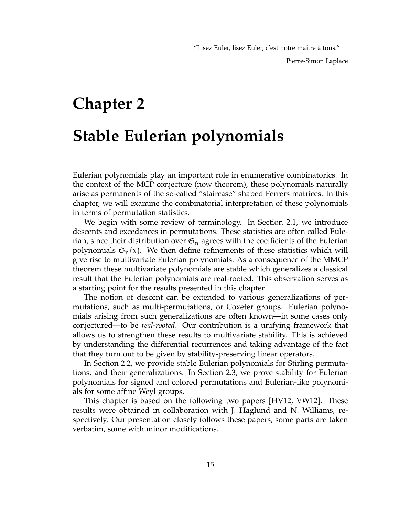# **Chapter 2 Stable Eulerian polynomials**

Eulerian polynomials play an important role in enumerative combinatorics. In the context of the MCP conjecture (now theorem), these polynomials naturally arise as permanents of the so-called "staircase" shaped Ferrers matrices. In this chapter, we will examine the combinatorial interpretation of these polynomials in terms of permutation statistics.

We begin with some review of terminology. In Section 2.1, we introduce descents and excedances in permutations. These statistics are often called Eulerian, since their distribution over  $\mathfrak{S}_n$  agrees with the coefficients of the Eulerian polynomials  $\mathfrak{S}_n(x)$ . We then define refinements of these statistics which will give rise to multivariate Eulerian polynomials. As a consequence of the MMCP theorem these multivariate polynomials are stable which generalizes a classical result that the Eulerian polynomials are real-rooted. This observation serves as a starting point for the results presented in this chapter.

The notion of descent can be extended to various generalizations of permutations, such as multi-permutations, or Coxeter groups. Eulerian polynomials arising from such generalizations are often known—in some cases only conjectured—to be *real-rooted*. Our contribution is a unifying framework that allows us to strengthen these results to multivariate stability. This is achieved by understanding the differential recurrences and taking advantage of the fact that they turn out to be given by stability-preserving linear operators.

In Section 2.2, we provide stable Eulerian polynomials for Stirling permutations, and their generalizations. In Section 2.3, we prove stability for Eulerian polynomials for signed and colored permutations and Eulerian-like polynomials for some affine Weyl groups.

This chapter is based on the following two papers [HV12, VW12]. These results were obtained in collaboration with J. Haglund and N. Williams, respectively. Our presentation closely follows these papers, some parts are taken verbatim, some with minor modifications.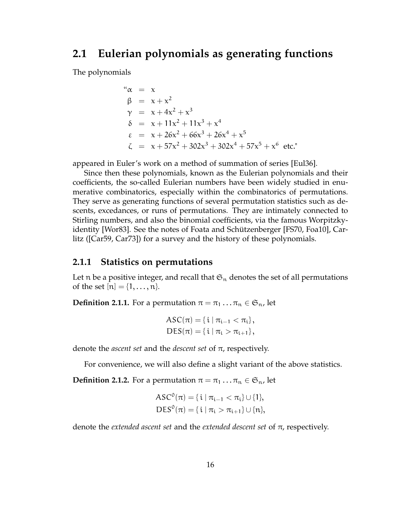## **2.1 Eulerian polynomials as generating functions**

The polynomials

$$
α = x
$$
  
\n
$$
β = x + x2
$$
  
\n
$$
γ = x + 4x2 + x3
$$
  
\n
$$
δ = x + 11x2 + 11x3 + x4
$$
  
\n
$$
ε = x + 26x2 + 66x3 + 26x4 + x5
$$
  
\n
$$
ζ = x + 57x2 + 302x3 + 302x4 + 57x5 + x6 etc.
$$

appeared in Euler's work on a method of summation of series [Eul36].

Since then these polynomials, known as the Eulerian polynomials and their coefficients, the so-called Eulerian numbers have been widely studied in enumerative combinatorics, especially within the combinatorics of permutations. They serve as generating functions of several permutation statistics such as descents, excedances, or runs of permutations. They are intimately connected to Stirling numbers, and also the binomial coefficients, via the famous Worpitzkyidentity [Wor83]. See the notes of Foata and Schützenberger [FS70, Foa10], Carlitz ([Car59, Car73]) for a survey and the history of these polynomials.

#### **2.1.1 Statistics on permutations**

Let n be a positive integer, and recall that  $\mathfrak{S}_n$  denotes the set of all permutations of the set  $[n] = \{1, ..., n\}$ .

**Definition 2.1.1.** For a permutation  $\pi = \pi_1 \dots \pi_n \in \mathfrak{S}_n$ , let

$$
ASC(π) = {i | πi-1 < πi},DES(π) = {i | πi > πi+1},
$$

denote the *ascent set* and the *descent set* of π, respectively.

For convenience, we will also define a slight variant of the above statistics.

**Definition 2.1.2.** For a permutation  $\pi = \pi_1 \dots \pi_n \in \mathfrak{S}_n$ , let

$$
ASC0(π) = {i | πi-1 < πi} ∪ {1},
$$
  
DES<sup>0</sup>(π) = {*i* | π<sub>i</sub> > π<sub>i+1</sub>} ∪ {n},

denote the *extended ascent set* and the *extended descent set* of π, respectively.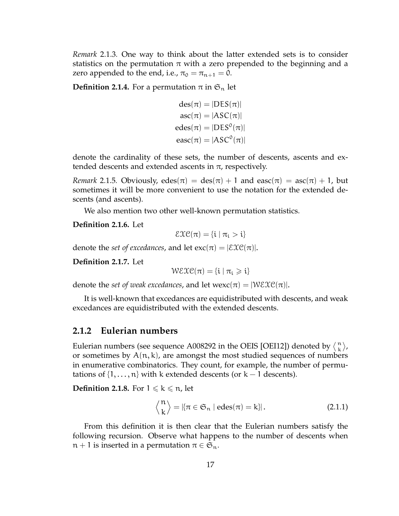*Remark* 2.1.3*.* One way to think about the latter extended sets is to consider statistics on the permutation  $\pi$  with a zero prepended to the beginning and a zero appended to the end, i.e.,  $\pi_0 = \pi_{n+1} = 0$ .

**Definition 2.1.4.** For a permutation  $\pi$  in  $\mathfrak{S}_n$  let

$$
des(\pi) = |DES(\pi)|
$$
  
\n
$$
asc(\pi) = |ASC(\pi)|
$$
  
\n
$$
edes(\pi) = |DES^{0}(\pi)|
$$
  
\n
$$
easc(\pi) = |ASC^{0}(\pi)|
$$

denote the cardinality of these sets, the number of descents, ascents and extended descents and extended ascents in  $\pi$ , respectively.

*Remark* 2.1.5*.* Obviously,  $edes(\pi) = des(\pi) + 1$  and  $easc(\pi) = asc(\pi) + 1$ , but sometimes it will be more convenient to use the notation for the extended descents (and ascents).

We also mention two other well-known permutation statistics.

**Definition 2.1.6.** Let

$$
\mathcal{E}\mathfrak{X}\mathfrak{C}(\pi)=\{\mathfrak{i}\mid \pi_{\mathfrak{i}}> \mathfrak{i}\}
$$

denote the *set of excedances*, and let  $\exp(\pi) = |\mathcal{E} \mathcal{X} \mathcal{C}(\pi)|$ .

**Definition 2.1.7.** Let

 $W$ EXC( $\pi$ ) = {i |  $\pi_i \geq i$ }

denote the *set of weak excedances*, and let wexc( $\pi$ ) =  $|\mathcal{WEXEC}(\pi)|$ .

It is well-known that excedances are equidistributed with descents, and weak excedances are equidistributed with the extended descents.

#### **2.1.2 Eulerian numbers**

Eulerian numbers (see sequence A008292 in the OEIS [OEI12]) denoted by  $\binom{n}{k}$ k , or sometimes by  $A(n, k)$ , are amongst the most studied sequences of numbers in enumerative combinatorics. They count, for example, the number of permutations of  $\{1,\ldots,n\}$  with k extended descents (or k – 1 descents).

**Definition 2.1.8.** For  $1 \leq k \leq n$ , let

$$
\left\langle \begin{matrix} n \\ k \end{matrix} \right\rangle = \left| \left\{ \pi \in \mathfrak{S}_n \mid \text{edes}(\pi) = k \right\} \right|.
$$
 (2.1.1)

From this definition it is then clear that the Eulerian numbers satisfy the following recursion. Observe what happens to the number of descents when  $n + 1$  is inserted in a permutation  $\pi \in \mathfrak{S}_n$ .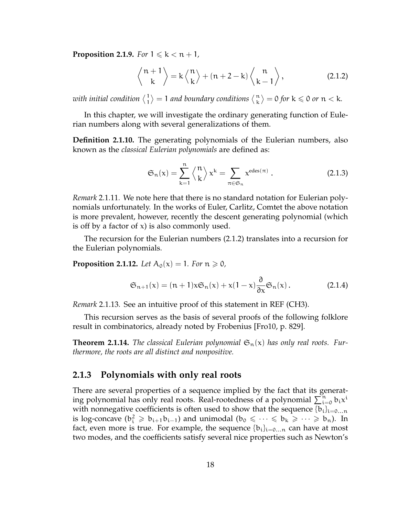**Proposition 2.1.9.** *For*  $1 \leq k < n+1$ *,* 

$$
\left\langle \begin{array}{c} n+1 \\ k \end{array} \right\rangle = k \left\langle \begin{array}{c} n \\ k \end{array} \right\rangle + (n+2-k) \left\langle \begin{array}{c} n \\ k-1 \end{array} \right\rangle, \tag{2.1.2}
$$

with initial condition  $\langle \frac{1}{1} \rangle$  $\binom{1}{1} = 1$  and boundary conditions  $\binom{n}{k}$  $\binom{n}{k} = 0$  for  $k \leqslant 0$  or  $n < k$ .

In this chapter, we will investigate the ordinary generating function of Eulerian numbers along with several generalizations of them.

**Definition 2.1.10.** The generating polynomials of the Eulerian numbers, also known as the *classical Eulerian polynomials* are defined as:

$$
\mathfrak{S}_{n}(x) = \sum_{k=1}^{n} \left\langle \frac{n}{k} \right\rangle x^{k} = \sum_{\pi \in \mathfrak{S}_{n}} x^{\text{edes}(\pi)} . \tag{2.1.3}
$$

*Remark* 2.1.11*.* We note here that there is no standard notation for Eulerian polynomials unfortunately. In the works of Euler, Carlitz, Comtet the above notation is more prevalent, however, recently the descent generating polynomial (which is off by a factor of  $x$ ) is also commonly used.

The recursion for the Eulerian numbers (2.1.2) translates into a recursion for the Eulerian polynomials.

**Proposition 2.1.12.** Let  $A_0(x) = 1$ . For  $n \ge 0$ ,

$$
\mathfrak{S}_{n+1}(x) = (n+1)x\mathfrak{S}_n(x) + x(1-x)\frac{\partial}{\partial x}\mathfrak{S}_n(x).
$$
 (2.1.4)

*Remark* 2.1.13*.* See an intuitive proof of this statement in REF (CH3).

This recursion serves as the basis of several proofs of the following folklore result in combinatorics, already noted by Frobenius [Fro10, p. 829].

**Theorem 2.1.14.** The classical Eulerian polynomial  $\mathfrak{S}_n(x)$  has only real roots. Fur*thermore, the roots are all distinct and nonpositive.*

#### **2.1.3 Polynomials with only real roots**

There are several properties of a sequence implied by the fact that its generating polynomial has only real roots. Real-rootedness of a polynomial  $\sum_{i=0}^{n} b_i x^i$ with nonnegative coefficients is often used to show that the sequence  ${b_i}_{i=0...n}$ is log-concave  $(b_i^2 \geq b_{i+1}b_{i-1})$  and unimodal  $(b_0 \leq \cdots \leq b_k \geq \cdots \geq b_n)$ . In fact, even more is true. For example, the sequence  ${b_i}_{i=0...n}$  can have at most two modes, and the coefficients satisfy several nice properties such as Newton's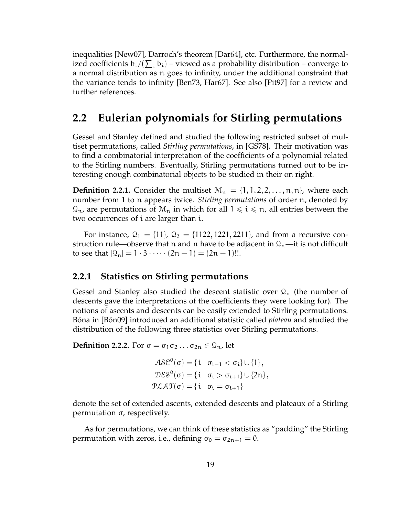inequalities [New07], Darroch's theorem [Dar64], etc. Furthermore, the normalized coefficients  $\mathfrak{b}_\mathfrak{i}/(\sum_\mathfrak{i} \mathfrak{b}_\mathfrak{i})$  – viewed as a probability distribution – converge to a normal distribution as n goes to infinity, under the additional constraint that the variance tends to infinity [Ben73, Har67]. See also [Pit97] for a review and further references.

# **2.2 Eulerian polynomials for Stirling permutations**

Gessel and Stanley defined and studied the following restricted subset of multiset permutations, called *Stirling permutations*, in [GS78]. Their motivation was to find a combinatorial interpretation of the coefficients of a polynomial related to the Stirling numbers. Eventually, Stirling permutations turned out to be interesting enough combinatorial objects to be studied in their on right.

**Definition 2.2.1.** Consider the multiset  $\mathcal{M}_n = \{1, 1, 2, 2, \ldots, n, n\}$ , where each number from 1 to n appears twice. *Stirling permutations* of order n, denoted by  $\mathcal{Q}_n$ , are permutations of  $\mathcal{M}_n$  in which for all  $1 \leq i \leq n$ , all entries between the two occurrences of i are larger than i.

For instance,  $Q_1 = \{11\}$ ,  $Q_2 = \{1122, 1221, 2211\}$ , and from a recursive construction rule—observe that n and n have to be adjacent in  $\mathcal{Q}_n$ —it is not difficult to see that  $|Q_n| = 1 \cdot 3 \cdot \cdots (2n-1) = (2n-1)!!$ .

#### **2.2.1 Statistics on Stirling permutations**

Gessel and Stanley also studied the descent statistic over  $\mathcal{Q}_n$  (the number of descents gave the interpretations of the coefficients they were looking for). The notions of ascents and descents can be easily extended to Stirling permutations. Bóna in [Bón09] introduced an additional statistic called *plateau* and studied the distribution of the following three statistics over Stirling permutations.

**Definition 2.2.2.** For  $\sigma = \sigma_1 \sigma_2 \ldots \sigma_{2n} \in \mathcal{Q}_n$ , let

$$
A \& \mathcal{C}^0(\sigma) = \{ i \mid \sigma_{i-1} < \sigma_i \} \cup \{ 1 \},
$$
\n
$$
D \& \mathcal{S}^0(\sigma) = \{ i \mid \sigma_i > \sigma_{i+1} \} \cup \{ 2n \},
$$
\n
$$
P \& A \& \mathcal{T}(\sigma) = \{ i \mid \sigma_i = \sigma_{i+1} \}
$$

denote the set of extended ascents, extended descents and plateaux of a Stirling permutation σ, respectively.

As for permutations, we can think of these statistics as "padding" the Stirling permutation with zeros, i.e., defining  $\sigma_0 = \sigma_{2n+1} = 0$ .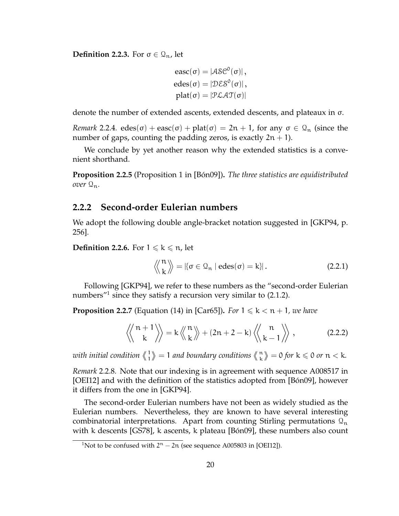**Definition 2.2.3.** For  $\sigma \in \mathcal{Q}_n$ , let

$$
easc(\sigma) = |A S C^0(\sigma)|,
$$
  
\n
$$
edes(\sigma) = |D \mathcal{E} S^0(\sigma)|,
$$
  
\n
$$
plat(\sigma) = |P \mathcal{L} A T(\sigma)|
$$

denote the number of extended ascents, extended descents, and plateaux in σ.

*Remark* 2.2.4*.* edes( $\sigma$ ) + easc( $\sigma$ ) + plat( $\sigma$ ) = 2n + 1, for any  $\sigma \in \mathcal{Q}_n$  (since the number of gaps, counting the padding zeros, is exactly  $2n + 1$ ).

We conclude by yet another reason why the extended statistics is a convenient shorthand.

**Proposition 2.2.5** (Proposition 1 in [Bón09])**.** *The three statistics are equidistributed over*  $\mathcal{Q}_n$ *.* 

#### **2.2.2 Second-order Eulerian numbers**

We adopt the following double angle-bracket notation suggested in [GKP94, p. 256].

**Definition 2.2.6.** For  $1 \leq k \leq n$ , let

$$
\left\langle \! \left\langle \! \begin{array}{c} n \\ k \end{array} \! \right\rangle \! \right\rangle = \left| \{ \sigma \in \mathcal{Q}_n \mid \text{edes}(\sigma) = k \} \right|.
$$
 (2.2.1)

Following [GKP94], we refer to these numbers as the "second-order Eulerian numbers $^{\prime\prime}$ <sup>1</sup> since they satisfy a recursion very similar to (2.1.2).

**Proposition 2.2.7** (Equation (14) in [Car65]). *For*  $1 \le k < n + 1$ *, we have* 

$$
\left\langle \left\langle \begin{array}{c} n+1 \\ k \end{array} \right\rangle \right\rangle = k \left\langle \left\langle \begin{array}{c} n \\ k \end{array} \right\rangle + (2n+2-k) \left\langle \left\langle \begin{array}{c} n \\ k-1 \end{array} \right\rangle \right\rangle, \tag{2.2.2}
$$

*with initial condition* 1  $\binom{1}{1}$  = 1 and boundary conditions  $\binom{n}{k}$  $\binom{n}{k} = 0$  *for*  $k \leq 0$  *or*  $n < k$ *.* 

*Remark* 2.2.8*.* Note that our indexing is in agreement with sequence A008517 in [OEI12] and with the definition of the statistics adopted from [Bón09], however it differs from the one in [GKP94].

The second-order Eulerian numbers have not been as widely studied as the Eulerian numbers. Nevertheless, they are known to have several interesting combinatorial interpretations. Apart from counting Stirling permutations  $\mathcal{Q}_n$ with k descents [GS78], k ascents, k plateau [Bón09], these numbers also count

<sup>&</sup>lt;sup>1</sup>Not to be confused with  $2<sup>n</sup> - 2n$  (see sequence A005803 in [OEI12]).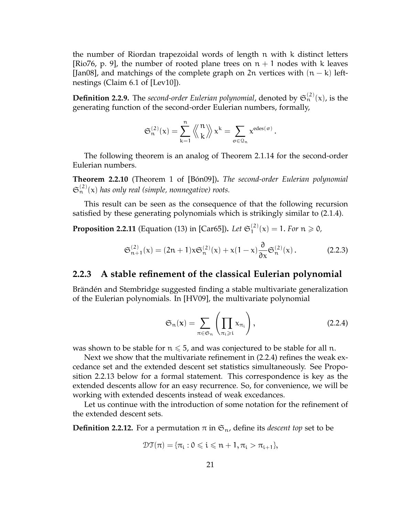the number of Riordan trapezoidal words of length n with k distinct letters [Rio76, p. 9], the number of rooted plane trees on  $n + 1$  nodes with k leaves [Jan08], and matchings of the complete graph on 2n vertices with  $(n - k)$  leftnestings (Claim 6.1 of [Lev10]).

**Definition 2.2.9.** The *second-order Eulerian polynomial*, denoted by  $\mathfrak{S}_n^{(2)}(x)$ , is the generating function of the second-order Eulerian numbers, formally,

$$
\mathfrak{S}_n^{(2)}(x)=\sum_{k=1}^n\left\langle\!\left\langle\begin{matrix}n\\k\end{matrix}\right\rangle\!\right\rangle x^k=\sum_{\sigma\in\mathfrak{Q}_n}x^{\text{edes}(\sigma)}
$$

The following theorem is an analog of Theorem 2.1.14 for the second-order Eulerian numbers.

**Theorem 2.2.10** (Theorem 1 of [Bón09])**.** *The second-order Eulerian polynomial*  $\mathfrak{S}_n^{(2)}(x)$  has only real (simple, nonnegative) roots.

This result can be seen as the consequence of that the following recursion satisfied by these generating polynomials which is strikingly similar to (2.1.4).

**Proposition 2.2.11** (Equation (13) in [Car65]). Let  $\mathfrak{S}_1^{(2)}$  $1^{(2)}(x) = 1$ . *For*  $n \ge 0$ ,

$$
\mathfrak{S}_{n+1}^{(2)}(x) = (2n+1)x\mathfrak{S}_n^{(2)}(x) + x(1-x)\frac{\partial}{\partial x}\mathfrak{S}_n^{(2)}(x).
$$
 (2.2.3)

#### **2.2.3 A stable refinement of the classical Eulerian polynomial**

Brändén and Stembridge suggested finding a stable multivariate generalization of the Eulerian polynomials. In [HV09], the multivariate polynomial

$$
\mathfrak{S}_{n}(\mathbf{x}) = \sum_{\pi \in \mathfrak{S}_{n}} \left( \prod_{\pi_{i} \geqslant i} x_{\pi_{i}} \right), \qquad (2.2.4)
$$

.

was shown to be stable for  $n \le 5$ , and was conjectured to be stable for all n.

Next we show that the multivariate refinement in (2.2.4) refines the weak excedance set and the extended descent set statistics simultaneously. See Proposition 2.2.13 below for a formal statement. This correspondence is key as the extended descents allow for an easy recurrence. So, for convenience, we will be working with extended descents instead of weak excedances.

Let us continue with the introduction of some notation for the refinement of the extended descent sets.

**Definition 2.2.12.** For a permutation  $\pi$  in  $\mathfrak{S}_n$ , define its *descent top* set to be

$$
\mathcal{DT}(\pi)=\{\pi_i: 0\leqslant i\leqslant n+1, \pi_i>\pi_{i+1}\},
$$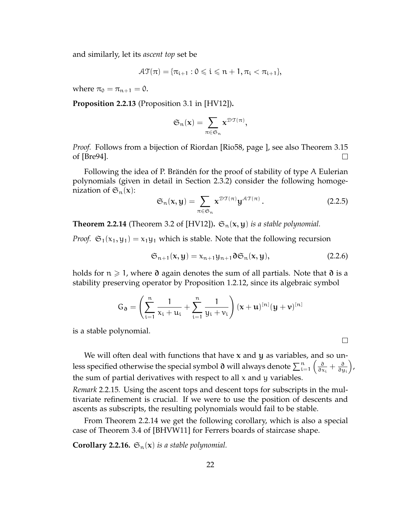and similarly, let its *ascent top* set be

$$
\mathcal{AT}(\pi)=\{\pi_{i+1}:0\leqslant i\leqslant n+1,\pi_i<\pi_{i+1}\},
$$

where  $\pi_0 = \pi_{n+1} = 0$ .

**Proposition 2.2.13** (Proposition 3.1 in [HV12])**.**

$$
\mathfrak{S}_n(x)=\sum_{\pi\in\mathfrak{S}_n}x^{\mathfrak{DT}(\pi)},
$$

*Proof.* Follows from a bijection of Riordan [Rio58, page ], see also Theorem 3.15 of [Bre94].  $\Box$ 

Following the idea of P. Brändén for the proof of stability of type A Eulerian polynomials (given in detail in Section 2.3.2) consider the following homogenization of  $\mathfrak{S}_n(x)$ :

$$
\mathfrak{S}_n(\mathbf{x}, \mathbf{y}) = \sum_{\pi \in \mathfrak{S}_n} \mathbf{x}^{\mathfrak{DT}(\pi)} \mathbf{y}^{\mathcal{AT}(\pi)}.
$$
 (2.2.5)

**Theorem 2.2.14** (Theorem 3.2 of [HV12]).  $\mathfrak{S}_n(x, y)$  *is a stable polynomial.* 

*Proof.*  $\mathfrak{S}_1(x_1, y_1) = x_1y_1$  which is stable. Note that the following recursion

$$
\mathfrak{S}_{n+1}(\mathbf{x}, \mathbf{y}) = \mathbf{x}_{n+1} \mathbf{y}_{n+1} \partial \mathfrak{S}_n(\mathbf{x}, \mathbf{y}), \qquad (2.2.6)
$$

 $\Box$ 

holds for  $n \ge 1$ , where ∂ again denotes the sum of all partials. Note that ∂ is a stability preserving operator by Proposition 1.2.12, since its algebraic symbol

$$
G_{\mathfrak{d}} = \left(\sum_{i=1}^{n} \frac{1}{x_i + u_i} + \sum_{i=1}^{n} \frac{1}{y_i + v_i}\right) (x + u)^{[n]} (y + v)^{[n]}
$$

is a stable polynomial.

We will often deal with functions that have  $x$  and  $y$  as variables, and so unless specified otherwise the special symbol  $\mathfrak d$  will always denote  $\sum_{\mathfrak{i}=1}^{\mathfrak{n}}\left(\frac{\partial}{\partial x_\mathfrak{a}}\right)$  $\frac{\partial}{\partial x_i} + \frac{\partial}{\partial y}$ ∂y<sup>i</sup> , the sum of partial derivatives with respect to all  $x$  and  $y$  variables.

*Remark* 2.2.15*.* Using the ascent tops and descent tops for subscripts in the multivariate refinement is crucial. If we were to use the position of descents and ascents as subscripts, the resulting polynomials would fail to be stable.

From Theorem 2.2.14 we get the following corollary, which is also a special case of Theorem 3.4 of [BHVW11] for Ferrers boards of staircase shape.

**Corollary 2.2.16.**  $\mathfrak{S}_n(x)$  *is a stable polynomial.*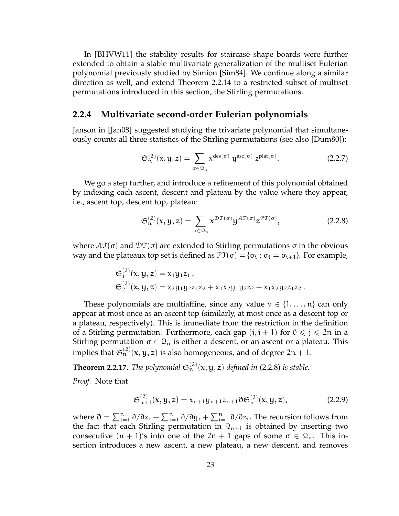In [BHVW11] the stability results for staircase shape boards were further extended to obtain a stable multivariate generalization of the multiset Eulerian polynomial previously studied by Simion [Sim84]. We continue along a similar direction as well, and extend Theorem 2.2.14 to a restricted subset of multiset permutations introduced in this section, the Stirling permutations.

#### **2.2.4 Multivariate second-order Eulerian polynomials**

Janson in [Jan08] suggested studying the trivariate polynomial that simultaneously counts all three statistics of the Stirling permutations (see also [Dum80]):

$$
\mathfrak{S}_n^{(2)}(x,y,z) = \sum_{\sigma \in \mathfrak{Q}_n} x^{\text{des}(\sigma)} y^{\text{asc}(\sigma)} z^{\text{plat}(\sigma)}.
$$
 (2.2.7)

We go a step further, and introduce a refinement of this polynomial obtained by indexing each ascent, descent and plateau by the value where they appear, i.e., ascent top, descent top, plateau:

$$
\mathfrak{S}_{n}^{(2)}(\mathbf{x}, \mathbf{y}, \mathbf{z}) = \sum_{\sigma \in \mathcal{Q}_{n}} \mathbf{x}^{\mathcal{DT}(\sigma)} \mathbf{y}^{\mathcal{AT}(\sigma)} \mathbf{z}^{\mathcal{PT}(\sigma)},
$$
(2.2.8)

where  $\mathcal{AT}(\sigma)$  and  $\mathcal{DT}(\sigma)$  are extended to Stirling permutations σ in the obvious way and the plateaux top set is defined as  $\mathfrak{PT}(\sigma) = {\sigma_i : \sigma_i = \sigma_{i+1}}$ . For example,

$$
\mathfrak{S}_1^{(2)}(x,y,z) = x_1y_1z_1, \n\mathfrak{S}_2^{(2)}(x,y,z) = x_2y_1y_2z_1z_2 + x_1x_2y_1y_2z_2 + x_1x_2y_2z_1z_2.
$$

These polynomials are multiaffine, since any value  $v \in \{1, \ldots, n\}$  can only appear at most once as an ascent top (similarly, at most once as a descent top or a plateau, respectively). This is immediate from the restriction in the definition of a Stirling permutation. Furthermore, each gap  $(j, j + 1)$  for  $0 \le j \le 2n$  in a Stirling permutation  $\sigma \in \Omega_n$  is either a descent, or an ascent or a plateau. This implies that  $\mathfrak{S}^{(2)}_{\mathfrak{n}}(\mathsf{x},\mathsf{y},\mathsf{z})$  is also homogeneous, and of degree 2n + 1.

**Theorem 2.2.17.** The polynomial  $\mathfrak{S}_n^{(2)}(\mathbf{x}, \mathbf{y}, \mathbf{z})$  defined in (2.2.8) is stable.

*Proof.* Note that

$$
\mathfrak{S}_{n+1}^{(2)}(x,y,z) = x_{n+1}y_{n+1}z_{n+1}\mathfrak{d}\mathfrak{S}_{n}^{(2)}(x,y,z),
$$
 (2.2.9)

where  $\mathfrak{d} = \sum_{i=1}^{n} \partial/\partial x_i + \sum_{i=1}^{n} \partial/\partial y_i + \sum_{i=1}^{n} \partial/\partial z_i$ . The recursion follows from the fact that each Stirling permutation in  $\mathcal{Q}_{n+1}$  is obtained by inserting two consecutive  $(n + 1)$ 's into one of the  $2n + 1$  gaps of some  $\sigma \in \mathcal{Q}_n$ . This insertion introduces a new ascent, a new plateau, a new descent, and removes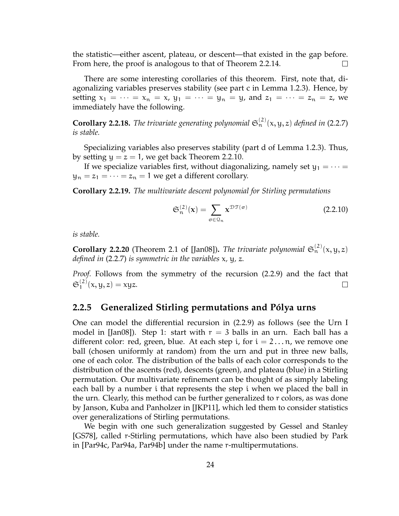the statistic—either ascent, plateau, or descent—that existed in the gap before. From here, the proof is analogous to that of Theorem 2.2.14.

There are some interesting corollaries of this theorem. First, note that, diagonalizing variables preserves stability (see part c in Lemma 1.2.3). Hence, by setting  $x_1 = \cdots = x_n = x$ ,  $y_1 = \cdots = y_n = y$ , and  $z_1 = \cdots = z_n = z$ , we immediately have the following.

**Corollary 2.2.18.** The trivariate generating polynomial  $\mathfrak{S}_n^{(2)}(x,y,z)$  defined in (2.2.7) *is stable.*

Specializing variables also preserves stability (part d of Lemma 1.2.3). Thus, by setting  $y = z = 1$ , we get back Theorem 2.2.10.

If we specialize variables first, without diagonalizing, namely set  $y_1 = \cdots =$  $y_n = z_1 = \cdots = z_n = 1$  we get a different corollary.

**Corollary 2.2.19.** *The multivariate descent polynomial for Stirling permutations*

$$
\mathfrak{S}_n^{(2)}(\mathbf{x}) = \sum_{\sigma \in \mathfrak{Q}_n} \mathbf{x}^{\mathfrak{DT}(\sigma)} \tag{2.2.10}
$$

*is stable.*

**Corollary 2.2.20** (Theorem 2.1 of [Jan08]). The trivariate polynomial  $\mathfrak{S}_n^{(2)}(x,y,z)$ *defined in* (2.2.7) *is symmetric in the variables* x*,* y*,* z*.*

*Proof.* Follows from the symmetry of the recursion (2.2.9) and the fact that  $\mathfrak{S}_1^{(2)}$  $x_1^{(2)}(x, y, z) = xyz.$  $\Box$ 

#### **2.2.5 Generalized Stirling permutations and Pólya urns**

One can model the differential recursion in (2.2.9) as follows (see the Urn I model in [Jan08]). Step 1: start with  $r = 3$  balls in an urn. Each ball has a different color: red, green, blue. At each step i, for  $i = 2 \dots n$ , we remove one ball (chosen uniformly at random) from the urn and put in three new balls, one of each color. The distribution of the balls of each color corresponds to the distribution of the ascents (red), descents (green), and plateau (blue) in a Stirling permutation. Our multivariate refinement can be thought of as simply labeling each ball by a number i that represents the step i when we placed the ball in the urn. Clearly, this method can be further generalized to r colors, as was done by Janson, Kuba and Panholzer in [JKP11], which led them to consider statistics over generalizations of Stirling permutations.

We begin with one such generalization suggested by Gessel and Stanley [GS78], called r-Stirling permutations, which have also been studied by Park in [Par94c, Par94a, Par94b] under the name r-multipermutations.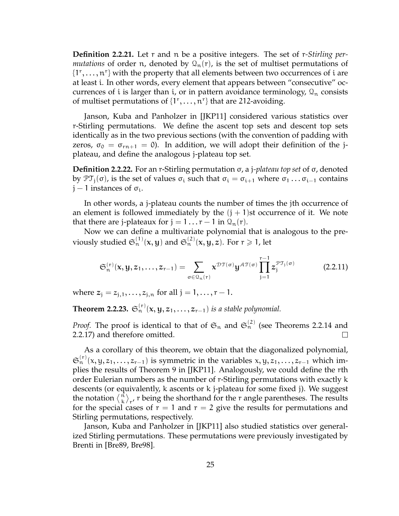**Definition 2.2.21.** Let r and n be a positive integers. The set of r*-Stirling permutations* of order n, denoted by  $\mathcal{Q}_n(r)$ , is the set of multiset permutations of  $\{1^{\circ}, \ldots, n^{\circ}\}$  with the property that all elements between two occurrences of i are at least i. In other words, every element that appears between "consecutive" occurrences of i is larger than i, or in pattern avoidance terminology,  $\mathcal{Q}_n$  consists of multiset permutations of  $\{1^r, \ldots, n^r\}$  that are 212-avoiding.

Janson, Kuba and Panholzer in [JKP11] considered various statistics over r-Stirling permutations. We define the ascent top sets and descent top sets identically as in the two previous sections (with the convention of padding with zeros,  $\sigma_0 = \sigma_{rn+1} = 0$ . In addition, we will adopt their definition of the jplateau, and define the analogous j-plateau top set.

**Definition 2.2.22.** For an r-Stirling permutation σ, a j*-plateau top set* of σ, denoted by  $\mathfrak{PT}_j(\sigma)$ , is the set of values  $\sigma_i$  such that  $\sigma_i = \sigma_{i+1}$  where  $\sigma_1 \dots \sigma_{i-1}$  contains  $j-1$  instances of  $\sigma_i$ .

In other words, a j-plateau counts the number of times the jth occurrence of an element is followed immediately by the  $(j + 1)$ st occurrence of it. We note that there are j-plateaux for  $j = 1 \dots r - 1$  in  $\mathcal{Q}_n(r)$ .

Now we can define a multivariate polynomial that is analogous to the previously studied  $\mathfrak{S}_\mathfrak{n}^{(1)}(\mathsf{x},\mathsf{y})$  and  $\mathfrak{S}_\mathfrak{n}^{(2)}(\mathsf{x},\mathsf{y},\mathsf{z})$ . For  $\mathsf{r}\geqslant1$ , let

$$
\mathfrak{S}_{n}^{(r)}(\mathbf{x}, \mathbf{y}, z_1, \dots, z_{r-1}) = \sum_{\sigma \in \mathfrak{Q}_n(r)} \mathbf{x}^{\mathfrak{DT}(\sigma)} \mathbf{y}^{\mathcal{A} \mathfrak{T}(\sigma)} \prod_{j=1}^{r-1} z_j^{\mathfrak{PT}_j(\sigma)}
$$
(2.2.11)

where  $z_i = z_{i,1}, \ldots, z_{i,n}$  for all  $j = 1, \ldots, r - 1$ .

**Theorem 2.2.23.**  $\mathfrak{S}_n^{(r)}(x, y, z_1, \ldots, z_{r-1})$  *is a stable polynomial.* 

*Proof.* The proof is identical to that of  $\mathfrak{S}_n$  and  $\mathfrak{S}_n^{(2)}$  (see Theorems 2.2.14 and 2.2.17) and therefore omitted.  $\Box$ 

As a corollary of this theorem, we obtain that the diagonalized polynomial,  $\mathfrak{S}_n^{(r)}(x,y,z_1,\ldots,z_{r-1})$  is symmetric in the variables  $x,y,z_1,\ldots,z_{r-1}$  which implies the results of Theorem 9 in [JKP11]. Analogously, we could define the rth order Eulerian numbers as the number of r-Stirling permutations with exactly k descents (or equivalently, k ascents or k j-plateau for some fixed j). We suggest the notation  $\langle \hat{n} \rangle$  $\binom{n}{k}_{r'}$  r being the shorthand for the r angle parentheses. The results for the special cases of  $r = 1$  and  $r = 2$  give the results for permutations and Stirling permutations, respectively.

Janson, Kuba and Panholzer in [JKP11] also studied statistics over generalized Stirling permutations. These permutations were previously investigated by Brenti in [Bre89, Bre98].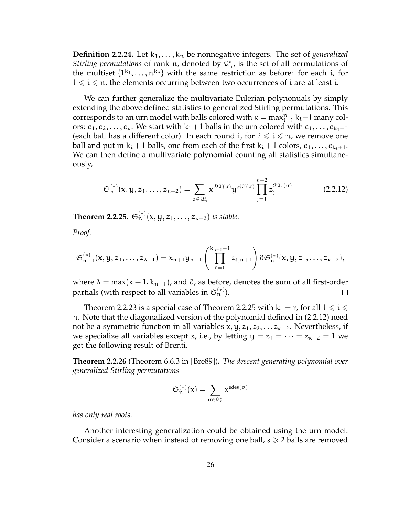**Definition 2.2.24.** Let  $k_1, \ldots, k_n$  be nonnegative integers. The set of *generalized Stirling permutations* of rank n, denoted by  $\mathbb{Q}_n^*$ , is the set of all permutations of the multiset  $\{1^{k_1}, \ldots, n^{k_n}\}$  with the same restriction as before: for each i, for  $1 \leq i \leq n$ , the elements occurring between two occurrences of i are at least i.

We can further generalize the multivariate Eulerian polynomials by simply extending the above defined statistics to generalized Stirling permutations. This corresponds to an urn model with balls colored with  $\kappa = \max_{i=1}^n k_i + 1$  many colors:  $c_1, c_2, \ldots, c_{\kappa}$ . We start with  $k_1 + 1$  balls in the urn colored with  $c_1, \ldots, c_{k_1+1}$ (each ball has a different color). In each round *i*, for  $2 \le i \le n$ , we remove one ball and put in  $k_i + 1$  balls, one from each of the first  $k_i + 1$  colors,  $c_1, \ldots, c_{k_i+1}$ . We can then define a multivariate polynomial counting all statistics simultaneously,

$$
\mathfrak{S}_{n}^{(*)}(\mathbf{x}, \mathbf{y}, \mathbf{z}_{1}, \dots, \mathbf{z}_{\kappa-2}) = \sum_{\sigma \in \mathfrak{Q}_{n}^{*}} \mathbf{x}^{\mathfrak{DT}(\sigma)} \mathbf{y}^{\mathcal{AT}(\sigma)} \prod_{j=1}^{\kappa-2} z_{j}^{\mathfrak{PT}_{j}(\sigma)}
$$
(2.2.12)

**Theorem 2.2.25.**  $\mathfrak{S}_n^{(*)}(x, y, z_1, \ldots, z_{\kappa-2})$  *is stable.* 

*Proof.*

$$
\mathfrak{S}^{(*)}_{n+1}(x,y,z_1,\ldots,z_{\lambda-1})=x_{n+1}y_{n+1}\left(\prod_{\ell=1}^{k_{n+1}-1}z_{\ell,n+1}\right)\partial\mathfrak{S}^{(*)}_n(x,y,z_1,\ldots,z_{\kappa-2}),
$$

where  $\lambda = \max(\kappa - 1, k_{n+1})$ , and  $\delta$ , as before, denotes the sum of all first-order partials (with respect to all variables in  $\mathfrak{S}^{(*)}_{\mathfrak{n}}$ ).  $\Box$ 

Theorem 2.2.23 is a special case of Theorem 2.2.25 with  $k_i = r$ , for all  $1 \leq i \leq$ n. Note that the diagonalized version of the polynomial defined in (2.2.12) need not be a symmetric function in all variables  $x, y, z_1, z_2, \ldots z_{\kappa-2}$ . Nevertheless, if we specialize all variables except x, i.e., by letting  $y = z_1 = \cdots = z_{\kappa-2} = 1$  we get the following result of Brenti.

**Theorem 2.2.26** (Theorem 6.6.3 in [Bre89])**.** *The descent generating polynomial over generalized Stirling permutations*

$$
\mathfrak{S}_n^{(*)}(x)=\sum_{\sigma\in\mathfrak{Q}_n^*}\chi^{edes(\sigma)}
$$

*has only real roots.*

Another interesting generalization could be obtained using the urn model. Consider a scenario when instead of removing one ball,  $s \geq 2$  balls are removed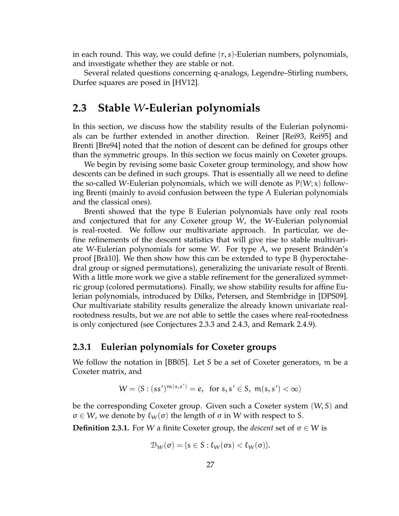in each round. This way, we could define  $(r, s)$ -Eulerian numbers, polynomials, and investigate whether they are stable or not.

Several related questions concerning q-analogs, Legendre–Stirling numbers, Durfee squares are posed in [HV12].

# **2.3 Stable** W**-Eulerian polynomials**

In this section, we discuss how the stability results of the Eulerian polynomials can be further extended in another direction. Reiner [Rei93, Rei95] and Brenti [Bre94] noted that the notion of descent can be defined for groups other than the symmetric groups. In this section we focus mainly on Coxeter groups.

We begin by revising some basic Coxeter group terminology, and show how descents can be defined in such groups. That is essentially all we need to define the so-called W-Eulerian polynomials, which we will denote as  $P(W; x)$  following Brenti (mainly to avoid confusion between the type A Eulerian polynomials and the classical ones).

Brenti showed that the type B Eulerian polynomials have only real roots and conjectured that for any Coxeter group W, the W-Eulerian polynomial is real-rooted. We follow our multivariate approach. In particular, we define refinements of the descent statistics that will give rise to stable multivariate W-Eulerian polynomials for some W. For type A, we present Brändén's proof [Brä10]. We then show how this can be extended to type B (hyperoctahedral group or signed permutations), generalizing the univariate result of Brenti. With a little more work we give a stable refinement for the generalized symmetric group (colored permutations). Finally, we show stability results for affine Eulerian polynomials, introduced by Dilks, Petersen, and Stembridge in [DPS09]. Our multivariate stability results generalize the already known univariate realrootedness results, but we are not able to settle the cases where real-rootedness is only conjectured (see Conjectures 2.3.3 and 2.4.3, and Remark 2.4.9).

#### **2.3.1 Eulerian polynomials for Coxeter groups**

We follow the notation in [BB05]. Let S be a set of Coxeter generators, m be a Coxeter matrix, and

$$
W = \langle S : (ss')^{m(s,s')} = e, \text{ for } s, s' \in S, m(s,s') < \infty \rangle
$$

be the corresponding Coxeter group. Given such a Coxeter system (W, S) and  $\sigma \in W$ , we denote by  $\ell_W(\sigma)$  the length of  $\sigma$  in W with respect to S.

**Definition 2.3.1.** For W a finite Coxeter group, the *descent* set of σ ∈ W is

$$
\mathcal{D}_\mathcal{W}(\sigma)=\{s\in S: \ell_\mathcal{W}(\sigma s)<\ell_\mathcal{W}(\sigma)\}.
$$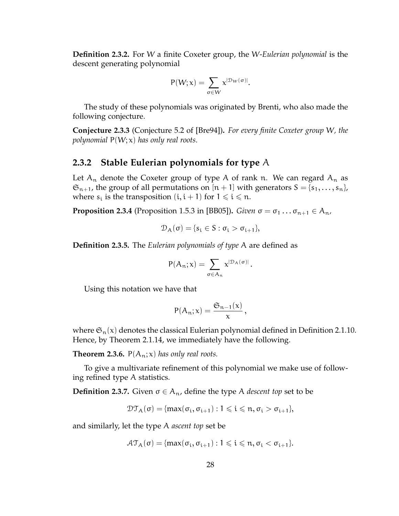**Definition 2.3.2.** For W a finite Coxeter group, the W-*Eulerian polynomial* is the descent generating polynomial

$$
P(W;x)=\sum_{\sigma\in W}x^{|\mathcal{D}_W(\sigma)|}.
$$

The study of these polynomials was originated by Brenti, who also made the following conjecture.

**Conjecture 2.3.3** (Conjecture 5.2 of [Bre94])**.** *For every finite Coxeter group* W*, the polynomial* P(W; x) *has only real roots.*

#### **2.3.2 Stable Eulerian polynomials for type** A

Let  $A_n$  denote the Coxeter group of type A of rank n. We can regard  $A_n$  as  $\mathfrak{S}_{n+1}$ , the group of all permutations on  $[n+1]$  with generators  $S = \{s_1, \ldots, s_n\}$ , where  $s_i$  is the transposition  $(i, i + 1)$  for  $1 \leq i \leq n$ .

**Proposition 2.3.4** (Proposition 1.5.3 in [BB05]). *Given*  $\sigma = \sigma_1 \dots \sigma_{n+1} \in A_n$ ,

$$
\mathcal{D}_A(\sigma) = \{s_i \in S : \sigma_i > \sigma_{i+1}\},\
$$

**Definition 2.3.5.** The *Eulerian polynomials of type* A are defined as

$$
P(A_n; x) = \sum_{\sigma \in A_n} x^{|D_A(\sigma)|}.
$$

Using this notation we have that

$$
P(A_n; x) = \frac{\mathfrak{S}_{n-1}(x)}{x},
$$

where  $\mathfrak{S}_n(x)$  denotes the classical Eulerian polynomial defined in Definition 2.1.10. Hence, by Theorem 2.1.14, we immediately have the following.

**Theorem 2.3.6.**  $P(A_n; x)$  *has only real roots.* 

To give a multivariate refinement of this polynomial we make use of following refined type A statistics.

**Definition 2.3.7.** Given  $\sigma \in A_n$ , define the type A *descent top* set to be

$$
\mathfrak{DT}_{A}(\sigma)=\{max(\sigma_{i},\sigma_{i+1}):1\leqslant i\leqslant n,\sigma_{i}>\sigma_{i+1}\},
$$

and similarly, let the type A *ascent top* set be

$$
\mathcal{AT}_{A}(\sigma) = \{\max(\sigma_i, \sigma_{i+1}) : 1 \leqslant i \leqslant n, \sigma_i < \sigma_{i+1}\}.
$$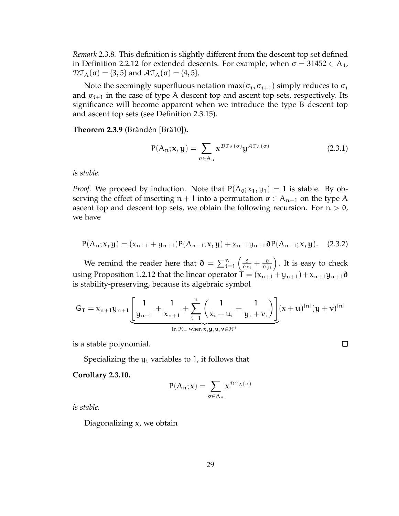*Remark* 2.3.8*.* This definition is slightly different from the descent top set defined in Definition 2.2.12 for extended descents. For example, when  $\sigma = 31452 \in A_4$ ,  $\mathcal{DT}_{A}(\sigma) = \{3, 5\}$  and  $\mathcal{AT}_{A}(\sigma) = \{4, 5\}.$ 

Note the seemingly superfluous notation  $max(\sigma_i, \sigma_{i+1})$  simply reduces to  $\sigma_i$ and  $\sigma_{i+1}$  in the case of type A descent top and ascent top sets, respectively. Its significance will become apparent when we introduce the type B descent top and ascent top sets (see Definition 2.3.15).

**Theorem 2.3.9** (Brändén [Brä10])**.**

$$
P(A_n; \mathbf{x}, \mathbf{y}) = \sum_{\sigma \in A_n} \mathbf{x}^{\mathcal{DT}_A(\sigma)} \mathbf{y}^{\mathcal{AT}_A(\sigma)}
$$
(2.3.1)

 $\Box$ 

*is stable.*

*Proof.* We proceed by induction. Note that  $P(A_0; x_1, y_1) = 1$  is stable. By observing the effect of inserting  $n + 1$  into a permutation  $\sigma \in A_{n-1}$  on the type A ascent top and descent top sets, we obtain the following recursion. For  $n > 0$ , we have

$$
P(A_n; x, y) = (x_{n+1} + y_{n+1})P(A_{n-1}; x, y) + x_{n+1}y_{n+1}\partial P(A_{n-1}; x, y).
$$
 (2.3.2)

We remind the reader here that  $\mathfrak{d} = \sum_{i=1}^n \left( \frac{\partial}{\partial x_i} \right)$  $\frac{\partial}{\partial x_i} + \frac{\partial}{\partial y}$ ∂y<sup>i</sup> . It is easy to check using Proposition 1.2.12 that the linear operator  $T = (x_{n+1} + y_{n+1}) + x_{n+1}y_{n+1}$  ∂ is stability-preserving, because its algebraic symbol

$$
G_T=x_{n+1}y_{n+1}\underbrace{\left[\dfrac{1}{y_{n+1}}+\dfrac{1}{x_{n+1}}+\displaystyle\sum_{i=1}^n\left(\dfrac{1}{x_i+u_i}+\dfrac{1}{y_i+\nu_i}\right)\right]}_{\text{In }\mathcal{H}_-\text{ when }\textbf{x},\textbf{y},\textbf{u},\textbf{v}\in\mathcal{H}^+}(\textbf{x}+\textbf{u})^{[n]}(\textbf{y}+\textbf{v})^{[n]}
$$

is a stable polynomial.

Specializing the  $y_i$  variables to 1, it follows that

**Corollary 2.3.10.**

$$
P(A_n; \mathbf{x}) = \sum_{\sigma \in A_n} \mathbf{x}^{\mathcal{DT}_A(\sigma)}
$$

*is stable.*

Diagonalizing  $x$ , we obtain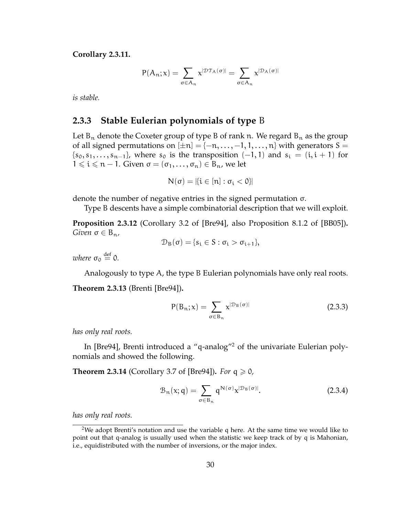**Corollary 2.3.11.**

$$
P(A_n; \boldsymbol{x}) = \sum_{\sigma \in A_n} \boldsymbol{x}^{|\mathcal{DT}_A(\sigma)|} = \sum_{\sigma \in A_n} \boldsymbol{x}^{|\mathcal{D}_A(\sigma)|}
$$

*is stable.*

#### **2.3.3 Stable Eulerian polynomials of type** B

Let  $B_n$  denote the Coxeter group of type B of rank n. We regard  $B_n$  as the group of all signed permutations on  $[\pm n] = \{-n, \ldots, -1, 1, \ldots, n\}$  with generators S =  ${s_0, s_1, \ldots, s_{n-1}}$ , where  $s_0$  is the transposition  $(-1, 1)$  and  $s_i = (i, i + 1)$  for  $1 \leq i \leq n-1$ . Given  $\sigma = (\sigma_1, \ldots, \sigma_n) \in B_n$ , we let

$$
N(\sigma)=|\{i\in[n]:\sigma_i<0\}|
$$

denote the number of negative entries in the signed permutation σ.

Type B descents have a simple combinatorial description that we will exploit.

**Proposition 2.3.12** (Corollary 3.2 of [Bre94], also Proposition 8.1.2 of [BB05])**.** *Given*  $\sigma \in B_n$ ,

$$
\mathcal{D}_B(\sigma) = \{s_i \in S : \sigma_i > \sigma_{i+1}\},\
$$

where  $\sigma_0 \stackrel{\text{def}}{=} 0$ .

Analogously to type A, the type B Eulerian polynomials have only real roots. **Theorem 2.3.13** (Brenti [Bre94])**.**

$$
P(B_n; x) = \sum_{\sigma \in B_n} x^{|D_B(\sigma)|}
$$
 (2.3.3)

*has only real roots.*

In [Bre94], Brenti introduced a "q-analog"<sup>2</sup> of the univariate Eulerian polynomials and showed the following.

**Theorem 2.3.14** (Corollary 3.7 of [Bre94]). *For*  $q \ge 0$ ,

$$
\mathcal{B}_{n}(x;q) = \sum_{\sigma \in B_{n}} q^{N(\sigma)} x^{|\mathcal{D}_{B}(\sigma)|}.
$$
 (2.3.4)

*has only real roots.*

<sup>&</sup>lt;sup>2</sup>We adopt Brenti's notation and use the variable q here. At the same time we would like to point out that q-analog is usually used when the statistic we keep track of by q is Mahonian, i.e., equidistributed with the number of inversions, or the major index.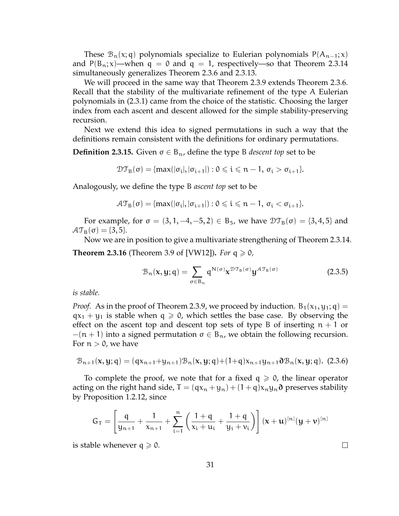These  $\mathcal{B}_n(x; q)$  polynomials specialize to Eulerian polynomials P( $A_{n-1}; x$ ) and  $P(B_n; x)$ —when q = 0 and q = 1, respectively—so that Theorem 2.3.14 simultaneously generalizes Theorem 2.3.6 and 2.3.13.

We will proceed in the same way that Theorem 2.3.9 extends Theorem 2.3.6. Recall that the stability of the multivariate refinement of the type A Eulerian polynomials in (2.3.1) came from the choice of the statistic. Choosing the larger index from each ascent and descent allowed for the simple stability-preserving recursion.

Next we extend this idea to signed permutations in such a way that the definitions remain consistent with the definitions for ordinary permutations.

**Definition 2.3.15.** Given  $\sigma \in B_n$ , define the type B *descent top* set to be

$$
\mathcal{DT}_{B}(\sigma) = \{ \max(|\sigma_i|, |\sigma_{i+1}|) : 0 \leqslant i \leqslant n-1, \sigma_i > \sigma_{i+1} \}.
$$

Analogously, we define the type B *ascent top* set to be

$$
\mathcal{AT}_{B}(\sigma)=\{\text{max}(|\sigma_i|,|\sigma_{i+1}|):0\leqslant i\leqslant n-1,\,\sigma_i<\sigma_{i+1}\}.
$$

For example, for  $\sigma = (3, 1, -4, -5, 2) \in B_5$ , we have  $\mathfrak{DT}_B(\sigma) = \{3, 4, 5\}$  and  $AT_{\text{B}}(\sigma) = \{3, 5\}.$ 

Now we are in position to give a multivariate strengthening of Theorem 2.3.14. **Theorem 2.3.16** (Theorem 3.9 of [VW12]). *For*  $q \ge 0$ ,

$$
\mathcal{B}_{n}(\mathbf{x}, \mathbf{y}; \mathbf{q}) = \sum_{\sigma \in B_{n}} \mathbf{q}^{N(\sigma)} \mathbf{x}^{\mathcal{D} \mathcal{T}_{B}(\sigma)} \mathbf{y}^{\mathcal{A} \mathcal{T}_{B}(\sigma)}
$$
(2.3.5)

 $\Box$ 

*is stable.*

*Proof.* As in the proof of Theorem 2.3.9, we proceed by induction.  $B_1(x_1, y_1; q) =$  $qx_1 + y_1$  is stable when  $q \ge 0$ , which settles the base case. By observing the effect on the ascent top and descent top sets of type B of inserting  $n + 1$  or  $-(n + 1)$  into a signed permutation  $\sigma \in B_n$ , we obtain the following recursion. For  $n > 0$ , we have

$$
\mathcal{B}_{n+1}(\mathbf{x}, \mathbf{y}; \mathbf{q}) = (q\mathbf{x}_{n+1} + \mathbf{y}_{n+1})\mathcal{B}_n(\mathbf{x}, \mathbf{y}; \mathbf{q}) + (1+\mathbf{q})\mathbf{x}_{n+1}\mathbf{y}_{n+1}\partial \mathcal{B}_n(\mathbf{x}, \mathbf{y}; \mathbf{q}).
$$
 (2.3.6)

To complete the proof, we note that for a fixed  $q \geq 0$ , the linear operator acting on the right hand side,  $T = (qx_n + y_n) + (1 + q)x_ny_n$  preserves stability by Proposition 1.2.12, since

$$
G_T = \left[\frac{q}{y_{n+1}} + \frac{1}{x_{n+1}} + \sum_{i=1}^n \left(\frac{1+q}{x_i+u_i} + \frac{1+q}{y_i+v_i}\right)\right] (x+u)^{[n]} (y+v)^{[n]}
$$

is stable whenever  $q \ge 0$ .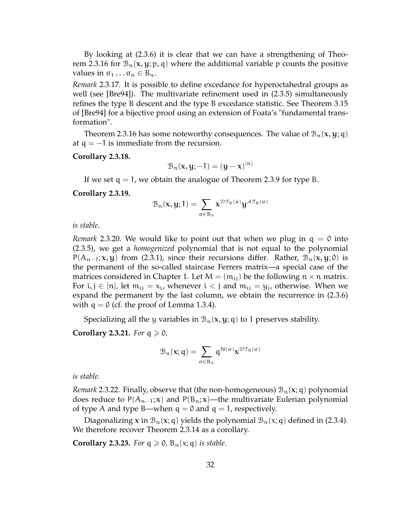By looking at (2.3.6) it is clear that we can have a strengthening of Theorem 2.3.16 for  $\mathcal{B}_n(x, y; p, q)$  where the additional variable p counts the positive values in  $\sigma_1 \dots \sigma_n \in B_n$ .

*Remark* 2.3.17*.* It is possible to define excedance for hyperoctahedral groups as well (see [Bre94]). The multivariate refinement used in (2.3.5) simultaneously refines the type B descent and the type B excedance statistic. See Theorem 3.15 of [Bre94] for a bijective proof using an extension of Foata's "fundamental transformation".

Theorem 2.3.16 has some noteworthy consequences. The value of  $\mathcal{B}_n(x, y; q)$ at  $q = -1$  is immediate from the recursion.

**Corollary 2.3.18.**

$$
\mathcal{B}_n(x, y; -1) = (y - x)^{[n]}
$$

If we set  $q = 1$ , we obtain the analogue of Theorem 2.3.9 for type B.

**Corollary 2.3.19.**

$$
\mathcal{B}_n(x,y;1)=\sum_{\sigma\in B_n}x^{\mathcal{DT}_{B}(\sigma)}y^{\mathcal{AT}_{B}(\sigma)}
$$

*is stable.*

*Remark* 2.3.20*.* We would like to point out that when we plug in q = 0 into (2.3.5), we get a *homogenized* polynomial that is not equal to the polynomial  $P(A_{n-1}; x, y)$  from (2.3.1), since their recursions differ. Rather,  $B_n(x, y; 0)$  is the permanent of the so-called staircase Ferrers matrix—a special case of the matrices considered in Chapter 1. Let  $M = (m_{ij})$  be the following  $n \times n$  matrix. For  $i, j \in [n]$ , let  $m_{ij} = x_i$ , whenever  $i < j$  and  $m_{ij} = y_j$ , otherwise. When we expand the permanent by the last column, we obtain the recurrence in (2.3.6) with  $q = 0$  (cf. the proof of Lemma 1.3.4).

Specializing all the y variables in  $\mathcal{B}_n(x, y; q)$  to 1 preserves stability.

**Corollary 2.3.21.** *For*  $q \ge 0$ *,* 

$$
\mathcal{B}_n(\mathbf{x};q) = \sum_{\sigma \in B_n} q^{N(\sigma)} \mathbf{x}^{\mathcal{DT}_B(\sigma)}
$$

*is stable.*

*Remark* 2.3.22. Finally, observe that (the non-homogeneous)  $B_n(x; q)$  polynomial does reduce to  $P(A_{n-1}; x)$  and  $P(B_n; x)$ —the multivariate Eulerian polynomial of type A and type B—when  $q = 0$  and  $q = 1$ , respectively.

Diagonalizing x in  $\mathcal{B}_n(x; q)$  yields the polynomial  $\mathcal{B}_n(x; q)$  defined in (2.3.4). We therefore recover Theorem 2.3.14 as a corollary.

**Corollary 2.3.23.** *For*  $q \ge 0$ ,  $B_n(x; q)$  *is stable.*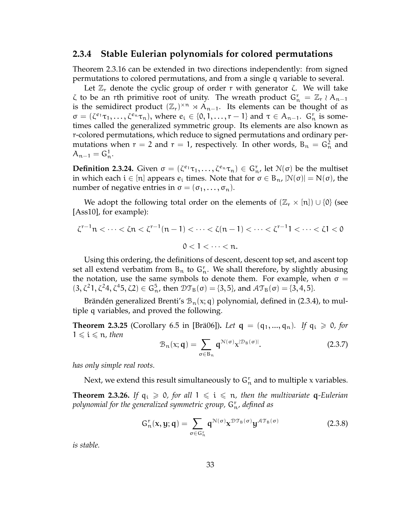### **2.3.4 Stable Eulerian polynomials for colored permutations**

Theorem 2.3.16 can be extended in two directions independently: from signed permutations to colored permutations, and from a single q variable to several.

Let  $\mathbb{Z}_r$  denote the cyclic group of order r with generator  $\zeta$ . We will take  $\zeta$  to be an rth primitive root of unity. The wreath product  $G_n^r = \mathbb{Z}_r \wr A_{n-1}$ is the semidirect product  $(\mathbb{Z}_r)^{\times n} \rtimes A_{n-1}$ . Its elements can be thought of as  $\sigma = (\zeta^{e_1}\tau_1,\ldots,\zeta^{e_n}\tau_n)$ , where  $e_i \in \{0,1,\ldots,r-1\}$  and  $\tau \in A_{n-1}$ .  $G_n^r$  is sometimes called the generalized symmetric group. Its elements are also known as r-colored permutations, which reduce to signed permutations and ordinary permutations when  $r = 2$  and  $r = 1$ , respectively. In other words,  $B_n = G_n^2$  and  $A_{n-1} = G_n^1$ .

**Definition 2.3.24.** Given  $\sigma = (\zeta^{e_1}\tau_1,\ldots,\zeta^{e_n}\tau_n) \in G_n^r$ , let  $\mathcal{N}(\sigma)$  be the multiset in which each  $i \in [n]$  appears  $e_i$  times. Note that for  $\sigma \in B_n$ ,  $|\mathcal{N}(\sigma)| = N(\sigma)$ , the number of negative entries in  $\sigma = (\sigma_1, \ldots, \sigma_n)$ .

We adopt the following total order on the elements of  $(\mathbb{Z}_r \times [n]) \cup \{0\}$  (see [Ass10], for example):

$$
\zeta^{r-1}n < \dots < \zeta n < \zeta^{r-1}(n-1) < \dots < \zeta(n-1) < \dots < \zeta^{r-1}1 < \dots < \zeta 1 < 0
$$
  
0 < 1 < \dots < n.

Using this ordering, the definitions of descent, descent top set, and ascent top set all extend verbatim from  $B_n$  to  $G_n^r$ . We shall therefore, by slightly abusing the notation, use the same symbols to denote them. For example, when  $\sigma =$  $(3, \zeta^2 1, \zeta^2 4, \zeta^4 5, \zeta 2) \in G_{\mathfrak{n}}^5$ , then  $\mathfrak{DT}_B(\sigma) = \{3, 5\}$ , and  $\mathcal{AT}_B(\sigma) = \{3, 4, 5\}$ .

Brändén generalized Brenti's  $\mathcal{B}_n(x; q)$  polynomial, defined in (2.3.4), to multiple q variables, and proved the following.

**Theorem 2.3.25** (Corollary 6.5 in [Brä06]). Let  $q = (q_1, ..., q_n)$ . If  $q_i \ge 0$ , for  $1 \leqslant i \leqslant n$ , then

$$
\mathcal{B}_{n}(x; \mathbf{q}) = \sum_{\sigma \in B_{n}} \mathbf{q}^{\mathcal{N}(\sigma)} x^{|\mathcal{D}_{B}(\sigma)|}.
$$
 (2.3.7)

*has only simple real roots.*

Next, we extend this result simultaneously to  $G_n^r$  and to multiple x variables.

**Theorem 2.3.26.** If  $q_i \ge 0$ , for all  $1 \le i \le n$ , then the multivariate q-Eulerian *polynomial for the generalized symmetric group,* G<sup>r</sup> <sup>n</sup>*, defined as*

$$
G_{n}^{r}(x, y; q) = \sum_{\sigma \in G_{n}^{r}} q^{\mathcal{N}(\sigma)} x^{\mathcal{D} \mathcal{T}_{B}(\sigma)} y^{\mathcal{A} \mathcal{T}_{B}(\sigma)}
$$
(2.3.8)

*is stable.*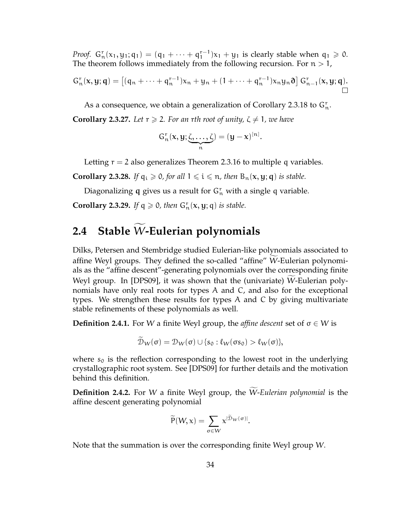*Proof.*  $G_n^r(x_1, y_1; q_1) = (q_1 + \cdots + q_1^{r-1})$  $j_1^{r-1}$ ) $x_1 + y_1$  is clearly stable when  $q_1 \geq 0$ . The theorem follows immediately from the following recursion. For  $n > 1$ ,

$$
G_n^r(x, y; q) = [(q_n + \cdots + q_n^{r-1})x_n + y_n + (1 + \cdots + q_n^{r-1})x_ny_n\mathfrak{d}] G_{n-1}^r(x, y; q).
$$

As a consequence, we obtain a generalization of Corollary 2.3.18 to  $G_n^r$ . **Corollary 2.3.27.** Let  $r \ge 2$ . For an rth root of unity,  $\zeta \ne 1$ , we have

$$
G_n^r(x, y; \underbrace{\zeta, \ldots, \zeta}_{n}) = (y - x)^{[n]}.
$$

Letting  $r = 2$  also generalizes Theorem 2.3.16 to multiple q variables.

**Corollary 2.3.28.** *If*  $q_i \ge 0$ *, for all*  $1 \le i \le n$ *, then*  $B_n(x, y; q)$  *is stable.* 

Diagonalizing q gives us a result for  $G_n^r$  with a single q variable.

**Corollary 2.3.29.** If  $q \ge 0$ , then  $G_n^r(x, y; q)$  is stable.

# **2.4 Stable** W-Eulerian polynomials

Dilks, Petersen and Stembridge studied Eulerian-like polynomials associated to affine Weyl groups. They defined the so-called "affine" W-Eulerian polynomials as the "affine descent"-generating polynomials over the corresponding finite Weyl group. In [DPS09], it was shown that the (univariate) W-Eulerian polynomials have only real roots for types A and C, and also for the exceptional types. We strengthen these results for types A and C by giving multivariate stable refinements of these polynomials as well.

**Definition 2.4.1.** For W a finite Weyl group, the *affine descent* set of  $\sigma \in W$  is

$$
\mathcal{D}_W(\sigma) = \mathcal{D}_W(\sigma) \cup \{s_0 : \ell_W(\sigma s_0) > \ell_W(\sigma)\},
$$

where  $s_0$  is the reflection corresponding to the lowest root in the underlying crystallographic root system. See [DPS09] for further details and the motivation behind this definition.

**Definition 2.4.2.** For W a finite Weyl group, the W-*Eulerian polynomial* is the affine descent generating polynomial

$$
\widetilde{P}(W,x)=\sum_{\sigma\in W}x^{|\widetilde{\mathcal{D}}_W(\sigma)|}.
$$

Note that the summation is over the corresponding finite Weyl group W.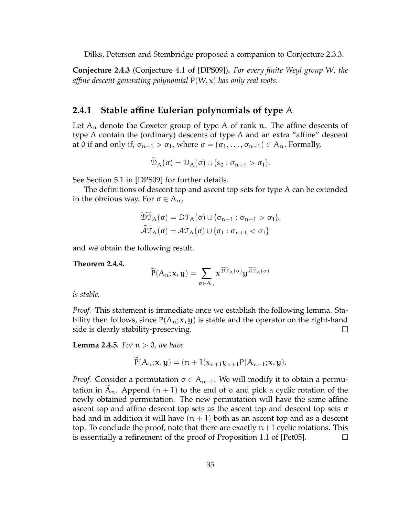Dilks, Petersen and Stembridge proposed a companion to Conjecture 2.3.3.

**Conjecture 2.4.3** (Conjecture 4.1 of [DPS09])**.** *For every finite Weyl group* W*, the affine descent generating polynomial*  $P(W, x)$  *has only real roots.* 

#### **2.4.1 Stable affine Eulerian polynomials of type** A

Let  $A_n$  denote the Coxeter group of type A of rank n. The affine descents of type A contain the (ordinary) descents of type A and an extra "affine" descent at 0 if and only if,  $\sigma_{n+1} > \sigma_1$ , where  $\sigma = (\sigma_1, \ldots, \sigma_{n+1}) \in A_n$ . Formally,

$$
\mathcal{D}_{A}(\sigma)=\mathcal{D}_{A}(\sigma)\cup\{s_{0}:\sigma_{n+1}>\sigma_{1}\}.
$$

See Section 5.1 in [DPS09] for further details.

The definitions of descent top and ascent top sets for type A can be extended in the obvious way. For  $\sigma \in A_n$ ,

$$
\overline{\mathcal{DT}}_{A}(\sigma) = \mathcal{DT}_{A}(\sigma) \cup \{\sigma_{n+1} : \sigma_{n+1} > \sigma_{1}\},
$$
  

$$
\widetilde{\mathcal{AT}}_{A}(\sigma) = \mathcal{AT}_{A}(\sigma) \cup \{\sigma_{1} : \sigma_{n+1} < \sigma_{1}\}
$$

and we obtain the following result.

**Theorem 2.4.4.**

$$
\widetilde{P}(A_n;\boldsymbol{x},\boldsymbol{y})=\sum_{\sigma\in A_n}\boldsymbol{x}^{\widetilde{\mathcal{DT}}_A(\sigma)}\boldsymbol{y}^{\widetilde{\mathcal{AT}}_A(\sigma)}
$$

*is stable.*

*Proof.* This statement is immediate once we establish the following lemma. Stability then follows, since  $P(A_n; x, y)$  is stable and the operator on the right-hand side is clearly stability-preserving.  $\Box$ 

**Lemma 2.4.5.** *For* n > 0*, we have*

$$
P(A_n; x, y) = (n + 1)x_{n+1}y_{n+1}P(A_{n-1}; x, y).
$$

*Proof.* Consider a permutation  $\sigma \in A_{n-1}$ . We will modify it to obtain a permutation in  $A_n$ . Append  $(n + 1)$  to the end of  $\sigma$  and pick a cyclic rotation of the newly obtained permutation. The new permutation will have the same affine ascent top and affine descent top sets as the ascent top and descent top sets σ had and in addition it will have  $(n + 1)$  both as an ascent top and as a descent top. To conclude the proof, note that there are exactly  $n+1$  cyclic rotations. This is essentially a refinement of the proof of Proposition 1.1 of [Pet05].  $\Box$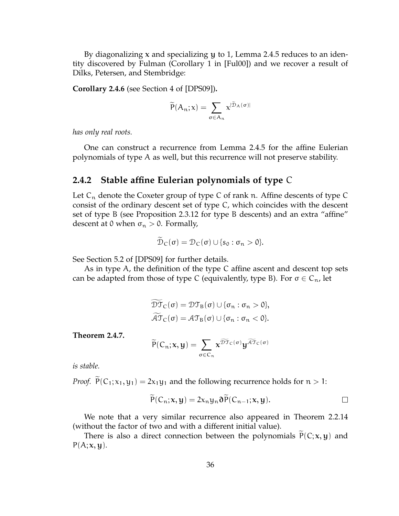By diagonalizing x and specializing y to 1, Lemma 2.4.5 reduces to an identity discovered by Fulman (Corollary 1 in [Ful00]) and we recover a result of Dilks, Petersen, and Stembridge:

**Corollary 2.4.6** (see Section 4 of [DPS09])**.**

$$
\widetilde{P}(A_n; x) = \sum_{\sigma \in A_n} x^{|\widetilde{\mathcal{D}}_A(\sigma)|}
$$

*has only real roots.*

One can construct a recurrence from Lemma 2.4.5 for the affine Eulerian polynomials of type A as well, but this recurrence will not preserve stability.

#### **2.4.2 Stable affine Eulerian polynomials of type** C

Let  $C_n$  denote the Coxeter group of type C of rank n. Affine descents of type C consist of the ordinary descent set of type C, which coincides with the descent set of type B (see Proposition 2.3.12 for type B descents) and an extra "affine" descent at 0 when  $\sigma_n > 0$ . Formally,

$$
\mathcal{D}_C(\sigma)=\mathcal{D}_C(\sigma)\cup\{s_0:\sigma_n>0\}.
$$

See Section 5.2 of [DPS09] for further details.

As in type A, the definition of the type C affine ascent and descent top sets can be adapted from those of type C (equivalently, type B). For  $\sigma \in C_n$ , let

$$
\widetilde{\mathcal{DT}}_{\mathsf{C}}(\sigma) = \mathcal{DT}_{\mathsf{B}}(\sigma) \cup \{\sigma_n : \sigma_n > 0\},
$$
  

$$
\widetilde{\mathcal{AT}}_{\mathsf{C}}(\sigma) = \mathcal{AT}_{\mathsf{B}}(\sigma) \cup \{\sigma_n : \sigma_n < 0\}.
$$

**Theorem 2.4.7.**

$$
\widetilde{P}(C_n; x, y) = \sum_{\sigma \in C_n} x^{\widetilde{\mathfrak{DT}}_C(\sigma)} y^{\widetilde{\mathcal{A}} \widetilde{\mathfrak{T}}_C(\sigma)}
$$

*is stable.*

*Proof.*  $\widetilde{P}(C_1; x_1, y_1) = 2x_1y_1$  and the following recurrence holds for  $n > 1$ :

$$
P(C_n; x, y) = 2x_n y_n \partial P(C_{n-1}; x, y).
$$

We note that a very similar recurrence also appeared in Theorem 2.2.14 (without the factor of two and with a different initial value).

There is also a direct connection between the polynomials  $P(C; x, y)$  and  $P(A; x, y)$ .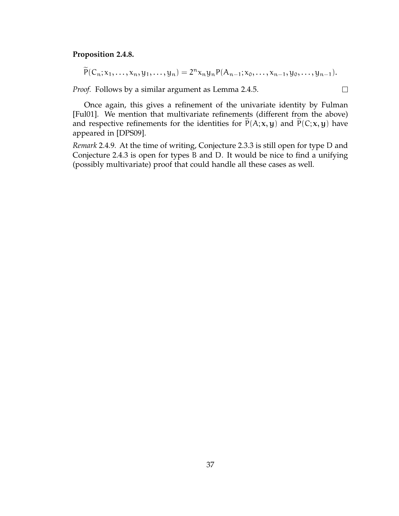#### **Proposition 2.4.8.**

$$
\widetilde{P}(C_n; x_1,\ldots,x_n,y_1,\ldots,y_n) = 2^n x_n y_n P(A_{n-1}; x_0,\ldots,x_{n-1},y_0,\ldots,y_{n-1}).
$$

 $\Box$ 

*Proof.* Follows by a similar argument as Lemma 2.4.5.

Once again, this gives a refinement of the univariate identity by Fulman [Ful01]. We mention that multivariate refinements (different from the above) and respective refinements for the identities for  $\tilde{P}(A; x, y)$  and  $\tilde{P}(C; x, y)$  have appeared in [DPS09].

*Remark* 2.4.9*.* At the time of writing, Conjecture 2.3.3 is still open for type D and Conjecture 2.4.3 is open for types B and D. It would be nice to find a unifying (possibly multivariate) proof that could handle all these cases as well.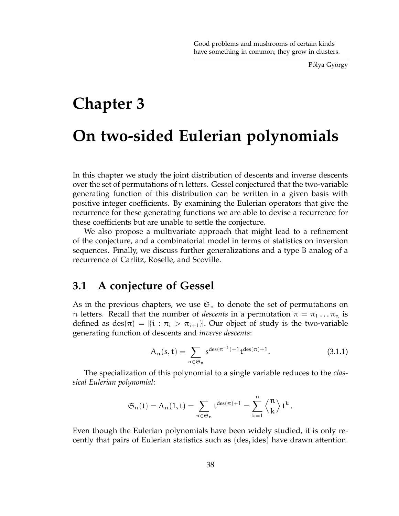Pólya György

# **Chapter 3 On two-sided Eulerian polynomials**

In this chapter we study the joint distribution of descents and inverse descents over the set of permutations of n letters. Gessel conjectured that the two-variable generating function of this distribution can be written in a given basis with positive integer coefficients. By examining the Eulerian operators that give the recurrence for these generating functions we are able to devise a recurrence for these coefficients but are unable to settle the conjecture.

We also propose a multivariate approach that might lead to a refinement of the conjecture, and a combinatorial model in terms of statistics on inversion sequences. Finally, we discuss further generalizations and a type B analog of a recurrence of Carlitz, Roselle, and Scoville.

# **3.1 A conjecture of Gessel**

As in the previous chapters, we use  $\mathfrak{S}_n$  to denote the set of permutations on n letters. Recall that the number of *descents* in a permutation  $\pi = \pi_1 \dots \pi_n$  is defined as des $(\pi) = |\{i : \pi_i > \pi_{i+1}\}|$ . Our object of study is the two-variable generating function of descents and *inverse descents*:

$$
A_n(s, t) = \sum_{\pi \in \mathfrak{S}_n} s^{\deg(\pi^{-1}) + 1} t^{\deg(\pi) + 1}.
$$
 (3.1.1)

The specialization of this polynomial to a single variable reduces to the *classical Eulerian polynomial*:

$$
\mathfrak{S}_n(\mathsf{t}) = \mathsf{A}_n(1,\mathsf{t}) = \sum_{\pi \in \mathfrak{S}_n} \mathsf{t}^{\mathrm{des}(\pi)+1} = \sum_{k=1}^n \left\langle {n \atop k} \right\rangle \mathsf{t}^k\,.
$$

Even though the Eulerian polynomials have been widely studied, it is only recently that pairs of Eulerian statistics such as (des, ides) have drawn attention.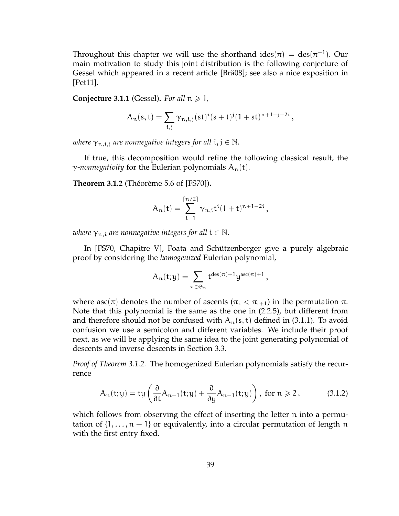Throughout this chapter we will use the shorthand ides $(\pi) = \text{des}(\pi^{-1})$ . Our main motivation to study this joint distribution is the following conjecture of Gessel which appeared in a recent article [Brä08]; see also a nice exposition in [Pet11].

**Conjecture 3.1.1** (Gessel). For all  $n \geq 1$ ,

$$
A_n(s,t)=\sum_{i,j}\gamma_{n,i,j}(st)^i(s+t)^j(1+st)^{n+1-j-2i}\,,
$$

where  $\gamma_{n,i,j}$  are nonnegative integers for all  $i,j\in\mathbb{N}.$ 

If true, this decomposition would refine the following classical result, the  $\gamma$ *-nonnegativity* for the Eulerian polynomials  $A_n(t)$ .

**Theorem 3.1.2** (Théorème 5.6 of [FS70])**.**

$$
A_n(t) = \sum_{i=1}^{\lceil n/2 \rceil} \gamma_{n,i} t^i (1+t)^{n+1-2i},
$$

*where*  $\gamma_{n,i}$  *are nonnegative integers for all*  $i \in \mathbb{N}$ .

In [FS70, Chapitre V], Foata and Schützenberger give a purely algebraic proof by considering the *homogenized* Eulerian polynomial,

$$
A_n(t;y)=\sum_{\pi\in\mathfrak{S}_n}t^{\text{des}(\pi)+1}y^{\text{asc}(\pi)+1}\,,
$$

where asc( $\pi$ ) denotes the number of ascents ( $\pi_i < \pi_{i+1}$ ) in the permutation  $\pi$ . Note that this polynomial is the same as the one in (2.2.5), but different from and therefore should not be confused with  $A_n(s,t)$  defined in (3.1.1). To avoid confusion we use a semicolon and different variables. We include their proof next, as we will be applying the same idea to the joint generating polynomial of descents and inverse descents in Section 3.3.

*Proof of Theorem 3.1.2.* The homogenized Eulerian polynomials satisfy the recurrence

$$
A_n(t; y) = ty\left(\frac{\partial}{\partial t}A_{n-1}(t; y) + \frac{\partial}{\partial y}A_{n-1}(t; y)\right), \text{ for } n \geq 2, \quad (3.1.2)
$$

which follows from observing the effect of inserting the letter n into a permutation of  $\{1,\ldots,n-1\}$  or equivalently, into a circular permutation of length n with the first entry fixed.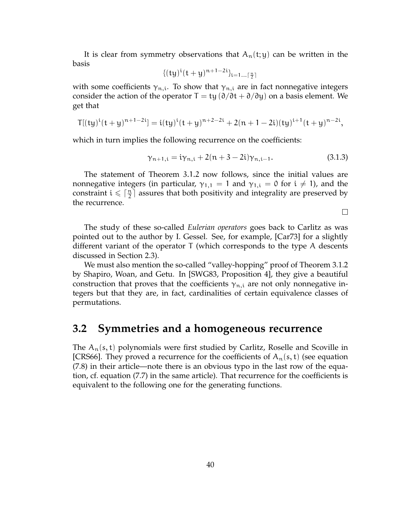It is clear from symmetry observations that  $A_n(t; y)$  can be written in the basis

$$
\{(ty)^{i}(t+y)^{n+1-2i}\}_{i=1...[\frac{n}{2}]}
$$

with some coefficients  $\gamma_{n,i}$ . To show that  $\gamma_{n,i}$  are in fact nonnegative integers consider the action of the operator  $T = ty (\partial/\partial t + \partial/\partial y)$  on a basis element. We get that

$$
T[(ty)^{i}(t+y)^{n+1-2i}] = i(ty)^{i}(t+y)^{n+2-2i} + 2(n+1-2i)(ty)^{i+1}(t+y)^{n-2i},
$$

which in turn implies the following recurrence on the coefficients:

$$
\gamma_{n+1,i} = i\gamma_{n,i} + 2(n+3-2i)\gamma_{n,i-1}.
$$
\n(3.1.3)

The statement of Theorem 3.1.2 now follows, since the initial values are nonnegative integers (in particular,  $\gamma_{1,1} = 1$  and  $\gamma_{1,i} = 0$  for  $i \neq 1$ ), and the constraint  $i \leqslant \lceil \frac{n}{2} \rceil$  $\frac{n}{2}$  assures that both positivity and integrality are preserved by the recurrence.

 $\Box$ 

The study of these so-called *Eulerian operators* goes back to Carlitz as was pointed out to the author by I. Gessel. See, for example, [Car73] for a slightly different variant of the operator T (which corresponds to the type A descents discussed in Section 2.3).

We must also mention the so-called "valley-hopping" proof of Theorem 3.1.2 by Shapiro, Woan, and Getu. In [SWG83, Proposition 4], they give a beautiful construction that proves that the coefficients  $\gamma_{n,i}$  are not only nonnegative integers but that they are, in fact, cardinalities of certain equivalence classes of permutations.

### **3.2 Symmetries and a homogeneous recurrence**

The  $A_n(s, t)$  polynomials were first studied by Carlitz, Roselle and Scoville in [CRS66]. They proved a recurrence for the coefficients of  $A_n(s, t)$  (see equation (7.8) in their article—note there is an obvious typo in the last row of the equation, cf. equation (7.7) in the same article). That recurrence for the coefficients is equivalent to the following one for the generating functions.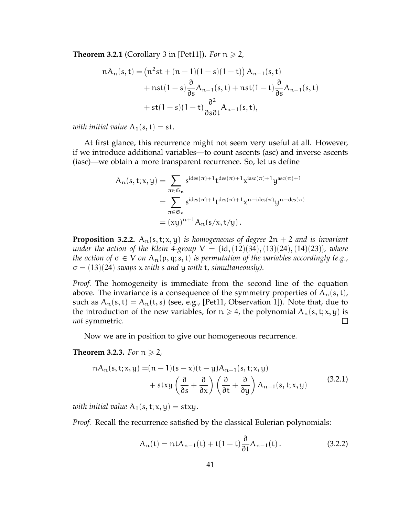**Theorem 3.2.1** (Corollary 3 in [Pet11]). *For*  $n \ge 2$ ,

$$
nA_n(s,t) = (n^2st + (n-1)(1-s)(1-t)) A_{n-1}(s,t)
$$
  
+ 
$$
nst(1-s)\frac{\partial}{\partial s}A_{n-1}(s,t) + nst(1-t)\frac{\partial}{\partial s}A_{n-1}(s,t)
$$
  
+ 
$$
st(1-s)(1-t)\frac{\partial^2}{\partial s\partial t}A_{n-1}(s,t),
$$

*with initial value*  $A_1(s,t) = st$ .

At first glance, this recurrence might not seem very useful at all. However, if we introduce additional variables—to count ascents (asc) and inverse ascents (iasc)—we obtain a more transparent recurrence. So, let us define

$$
A_n(s, t; x, y) = \sum_{\pi \in \mathfrak{S}_n} s^{ides(\pi)+1} t^{des(\pi)+1} x^{iasc(\pi)+1} y^{asc(\pi)+1}
$$
  
= 
$$
\sum_{\pi \in \mathfrak{S}_n} s^{ides(\pi)+1} t^{des(\pi)+1} x^{n-ides(\pi)} y^{n-des(\pi)}
$$
  
= 
$$
(xy)^{n+1} A_n(s/x, t/y).
$$

**Proposition 3.2.2.**  $A_n(s, t; x, y)$  *is homogeneous of degree*  $2n + 2$  *and is invariant under the action of the Klein 4-group*  $V = \{id, (12)(34), (13)(24), (14)(23)\}$ *, where the action of*  $\sigma \in V$  *on*  $A_n(p, q; s, t)$  *is permutation of the variables accordingly (e.g.,* σ = (13)(24) *swaps* x *with* s *and* y *with* t*, simultaneously).*

*Proof.* The homogeneity is immediate from the second line of the equation above. The invariance is a consequence of the symmetry properties of  $A_n(s,t)$ , such as  $A_n(s, t) = A_n(t, s)$  (see, e.g., [Pet11, Observation 1]). Note that, due to the introduction of the new variables, for  $n \ge 4$ , the polynomial  $A_n(s, t; x, y)$  is  $\Box$ *not* symmetric.

Now we are in position to give our homogeneous recurrence.

#### **Theorem 3.2.3.** *For*  $n \ge 2$ *,*

$$
nA_n(s, t; x, y) = (n - 1)(s - x)(t - y)A_{n-1}(s, t; x, y)
$$
  
+ 
$$
stxy\left(\frac{\partial}{\partial s} + \frac{\partial}{\partial x}\right)\left(\frac{\partial}{\partial t} + \frac{\partial}{\partial y}\right)A_{n-1}(s, t; x, y)
$$
(3.2.1)

*with initial value*  $A_1(s, t; x, y) = stxy$ .

*Proof.* Recall the recurrence satisfied by the classical Eulerian polynomials:

$$
A_n(t) = ntA_{n-1}(t) + t(1-t)\frac{\partial}{\partial t}A_{n-1}(t).
$$
 (3.2.2)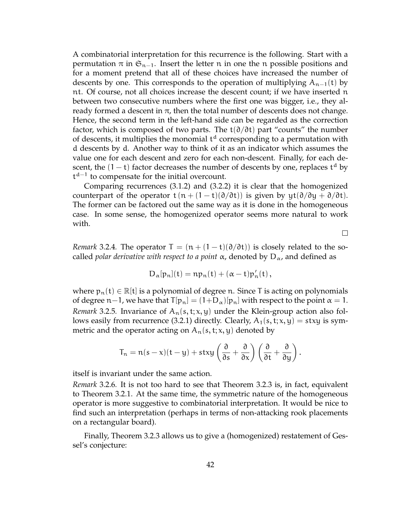A combinatorial interpretation for this recurrence is the following. Start with a permutation  $\pi$  in  $\mathfrak{S}_{n-1}$ . Insert the letter n in one the n possible positions and for a moment pretend that all of these choices have increased the number of descents by one. This corresponds to the operation of multiplying  $A_{n-1}(t)$  by nt. Of course, not all choices increase the descent count; if we have inserted n between two consecutive numbers where the first one was bigger, i.e., they already formed a descent in  $\pi$ , then the total number of descents does not change. Hence, the second term in the left-hand side can be regarded as the correction factor, which is composed of two parts. The t( $\partial/\partial t$ ) part "counts" the number of descents, it multiplies the monomial  $t<sup>d</sup>$  corresponding to a permutation with d descents by d. Another way to think of it as an indicator which assumes the value one for each descent and zero for each non-descent. Finally, for each descent, the  $(1-t)$  factor decreases the number of descents by one, replaces  $t<sup>d</sup>$  by t<sup>d−1</sup> to compensate for the initial overcount.

Comparing recurrences (3.1.2) and (3.2.2) it is clear that the homogenized counterpart of the operator t  $(n + (1 - t)(\partial/\partial t))$  is given by  $yt(\partial/\partial y + \partial/\partial t)$ . The former can be factored out the same way as it is done in the homogeneous case. In some sense, the homogenized operator seems more natural to work with.

*Remark* 3.2.4. The operator  $\mathsf{T} = (\mathsf{n} + (1 - \mathsf{t})(\partial/\partial \mathsf{t}))$  is closely related to the socalled *polar derivative with respect to a point*  $\alpha$ , denoted by  $D_{\alpha}$ , and defined as

 $\Box$ 

$$
D_\alpha[p_n](t)=np_n(t)+(\alpha-t)p_n'(t)\,,
$$

where  $p_n(t) \in \mathbb{R}[t]$  is a polynomial of degree n. Since T is acting on polynomials of degree n−1, we have that  $T[p_n] = (1+D_\alpha)[p_n]$  with respect to the point  $\alpha = 1$ . *Remark* 3.2.5. Invariance of  $A_n(s, t; x, y)$  under the Klein-group action also follows easily from recurrence (3.2.1) directly. Clearly,  $A_1(s, t; x, y) = stxy$  is symmetric and the operator acting on  $A_n(s, t; x, y)$  denoted by

$$
T_n=n(s-x)(t-y)+stxy\left(\frac{\partial}{\partial s}+\frac{\partial}{\partial x}\right)\left(\frac{\partial}{\partial t}+\frac{\partial}{\partial y}\right).
$$

itself is invariant under the same action.

*Remark* 3.2.6*.* It is not too hard to see that Theorem 3.2.3 is, in fact, equivalent to Theorem 3.2.1. At the same time, the symmetric nature of the homogeneous operator is more suggestive to combinatorial interpretation. It would be nice to find such an interpretation (perhaps in terms of non-attacking rook placements on a rectangular board).

Finally, Theorem 3.2.3 allows us to give a (homogenized) restatement of Gessel's conjecture: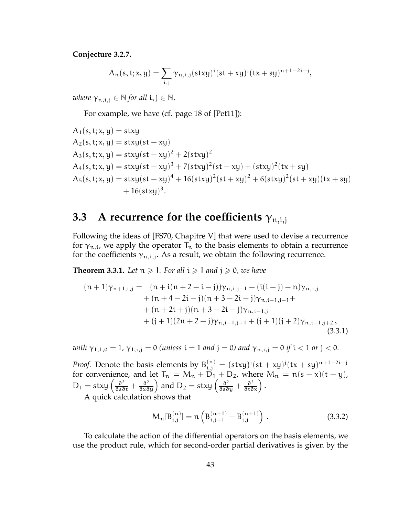**Conjecture 3.2.7.**

$$
A_n(s, t; x, y) = \sum_{i,j} \gamma_{n,i,j} (s t x y)^i (s t + x y)^j (t x + s y)^{n+1-2i-j},
$$

*where*  $\gamma_{n,i,j} \in \mathbb{N}$  for all  $i, j \in \mathbb{N}$ .

For example, we have (cf. page 18 of [Pet11]):

$$
A_1(s, t; x, y) = stxy
$$
  
\n
$$
A_2(s, t; x, y) = stxy(st + xy)
$$
  
\n
$$
A_3(s, t; x, y) = stxy(st + xy)^2 + 2(stxy)^2
$$
  
\n
$$
A_4(s, t; x, y) = stxy(st + xy)^3 + 7(stxy)^2(st + xy) + (stxy)^2(tx + sy)
$$
  
\n
$$
A_5(s, t; x, y) = stxy(st + xy)^4 + 16(stxy)^2(st + xy)^2 + 6(stxy)^2(st + xy)(tx + sy) + 16(stxy)^3.
$$

# **3.3** A recurrence for the coefficients  $\gamma_{\text{n.i.i}}$

Following the ideas of [FS70, Chapitre V] that were used to devise a recurrence for  $\gamma_{n,i}$ , we apply the operator  $T_n$  to the basis elements to obtain a recurrence for the coefficients  $\gamma_{n,i,j}$ . As a result, we obtain the following recurrence.

**Theorem 3.3.1.** Let  $n \geq 1$ . For all  $i \geq 1$  and  $j \geq 0$ , we have

$$
(n+1)\gamma_{n+1,i,j} = (n+i(n+2-i-j))\gamma_{n,i,j-1} + (i(i+j) - n)\gamma_{n,i,j} + (n+4-2i-j)(n+3-2i-j)\gamma_{n,i-1,j-1} ++ (n+2i+j)(n+3-2i-j)\gamma_{n,i-1,j} + (j+1)(2n+2-j)\gamma_{n,i-1,j+1} + (j+1)(j+2)\gamma_{n,i-1,j+2},
$$
\n(3.3.1)

*with*  $\gamma_{1,1,0} = 1$ ,  $\gamma_{1,i,j} = 0$  *(unless*  $i = 1$  *and*  $j = 0$ *) and*  $\gamma_{n,i,j} = 0$  *if*  $i < 1$  *or*  $j < 0$ *.* 

*Proof.* Denote the basis elements by  $B_{i,j}^{(n)} = (stxy)^{i}(st + xy)^{j}(tx + sy)^{n+1-2i-j}$ for convenience, and let  $T_n = M_n + \overline{D}_1 + D_2$ , where  $M_n = n(s - x)(t - y)$ ,  $D_1 = \text{stay} \left( \frac{\partial^2}{\partial s \partial t} + \frac{\partial^2}{\partial x \partial y} \right)$  and  $D_2 = \text{stay} \left( \frac{\partial^2}{\partial s \partial y} + \frac{\partial^2}{\partial t \partial x} \right)$ .

A quick calculation shows that

$$
M_{n}[B_{i,j}^{(n)}] = n\left(B_{i,j+1}^{(n+1)} - B_{i,j}^{(n+1)}\right).
$$
 (3.3.2)

To calculate the action of the differential operators on the basis elements, we use the product rule, which for second-order partial derivatives is given by the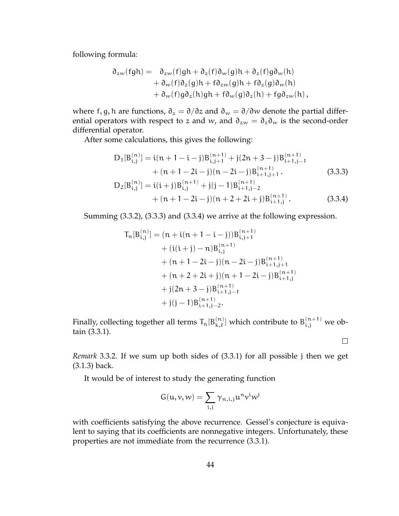following formula:

$$
\partial_{zw}(fgh) = \partial_{zw}(f)gh + \partial_z(f)\partial_w(g)h + \partial_z(f)g\partial_w(h) + \partial_w(f)\partial_z(g)h + f\partial_{zw}(g)h + f\partial_z(g)\partial_w(h) + \partial_w(f)g\partial_z(h)gh + f\partial_w(g)\partial_z(h) + fg\partial_{zw}(h),
$$

where f, g, h are functions,  $\partial_z = \partial/\partial z$  and  $\partial_w = \partial/\partial w$  denote the partial differential operators with respect to z and w, and  $\partial_{zw} = \partial_z \partial_w$  is the second-order differential operator.

After some calculations, this gives the following:

$$
D_{1}[B_{i,j}^{(n)}] = i(n + 1 - i - j)B_{i,j+1}^{(n+1)} + j(2n + 3 - j)B_{i+1,j-1}^{(n+1)} + (n + 1 - 2i - j)(n - 2i - j)B_{i+1,j+1}^{(n+1)}.
$$
\n
$$
D_{2}[B_{i,j}^{(n)}] = i(i+j)B_{i,j}^{(n+1)} + j(j-1)B_{i+1,j-2}^{(n+1)} + (n + 1 - 2i - j)(n + 2 + 2i + j)B_{i+1,j}^{(n+1)}.
$$
\n(3.3.4)

Summing (3.3.2), (3.3.3) and (3.3.4) we arrive at the following expression.

$$
T_{n}[B_{i,j}^{(n)}] = (n + i(n + 1 - i - j))B_{i,j+1}^{(n+1)}
$$
  
+ 
$$
(i(i + j) - n)B_{i,j}^{(n+1)}
$$
  
+ 
$$
(n + 1 - 2i - j)(n - 2i - j)B_{i+1,j+1}^{(n+1)}
$$
  
+ 
$$
(n + 2 + 2i + j)(n + 1 - 2i - j)B_{i+1,j}^{(n+1)}
$$
  
+ 
$$
j(2n + 3 - j)B_{i+1,j-1}^{(n+1)}
$$
  
+ 
$$
j(j - 1)B_{i+1,j-2}^{(n+1)}
$$
.

Finally, collecting together all terms  $\mathsf{T}_\mathfrak{n}[\mathsf{B}_{\mathsf{k},\ell}^{(\mathsf{n})}]$  which contribute to  $\mathsf{B}_{\mathsf{i},\mathsf{j}}^{(\mathsf{n}+1)}$  we obtain (3.3.1).

 $\Box$ 

*Remark* 3.3.2*.* If we sum up both sides of (3.3.1) for all possible j then we get (3.1.3) back.

It would be of interest to study the generating function

$$
G(u,v,w)=\sum_{i,j}\gamma_{n,i,j}u^nv^iw^j
$$

with coefficients satisfying the above recurrence. Gessel's conjecture is equivalent to saying that its coefficients are nonnegative integers. Unfortunately, these properties are not immediate from the recurrence (3.3.1).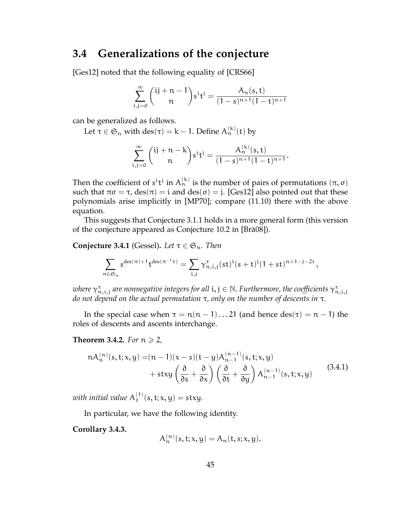## **3.4 Generalizations of the conjecture**

[Ges12] noted that the following equality of [CRS66]

$$
\sum_{i,j=0}^{\infty} {ij+n-1 \choose n} s^i t^j = \frac{A_n(s,t)}{(1-s)^{n+1}(1-t)^{n+1}}
$$

can be generalized as follows.

Let  $\tau \in \mathfrak{S}_n$  with  $\mathrm{des}(\tau) = k - 1$ . Define  $\mathrm{A}_n^{(k)}(t)$  by

$$
\sum_{i,j=0}^{\infty} {ij+n-k \choose n} s^i t^j = \frac{A_n^{(k)}(s,t)}{(1-s)^{n+1}(1-t)^{n+1}}.
$$

Then the coefficient of  $s^i t^j$  in  $A_n^{(k)}$  is the number of pairs of permutations  $(\pi, \sigma)$ such that  $\pi\sigma = \tau$ ,  $des(\pi) = i$  and  $des(\sigma) = j$ . [Ges12] also pointed out that these polynomials arise implicitly in [MP70]; compare (11.10) there with the above equation.

This suggests that Conjecture 3.1.1 holds in a more general form (this version of the conjecture appeared as Conjecture 10.2 in [Brä08]).

**Conjecture 3.4.1** (Gessel). Let  $\tau \in \mathfrak{S}_n$ . Then

$$
\sum_{\pi\in\mathfrak{S}_n}s^{{\rm des}(\pi)+1}t^{{\rm des}(\pi^{-1}\tau)}=\sum_{i,j}\gamma_{n,i,j}^\tau(st)^i(s+t)^j(1+st)^{n+1-j-2i}\,,
$$

where  $\gamma_{n,i,j}^{\tau}$  are nonnegative integers for all  $\mathfrak{i},\mathfrak{j}\in\mathbb{N}.$  Furthermore, the coefficients  $\gamma_{n,i,j}^{\tau}$ *do not depend on the actual permutation* τ*, only on the number of descents in* τ*.*

In the special case when  $\tau = \pi(n-1)...21$  (and hence  $des(\tau) = n-1$ ) the roles of descents and ascents interchange.

#### **Theorem 3.4.2.** *For*  $n \ge 2$ *,*

$$
nA_n^{(n)}(s,t;x,y) = (n-1)(x-s)(t-y)A_{n-1}^{(n-1)}(s,t;x,y) + stxy\left(\frac{\partial}{\partial s} + \frac{\partial}{\partial x}\right)\left(\frac{\partial}{\partial t} + \frac{\partial}{\partial y}\right)A_{n-1}^{(n-1)}(s,t;x,y)
$$
(3.4.1)

with initial value  $\mathsf{A}_1^{(1)}$  $j_1^{(1)}(s,t;x,y) = stxy.$ 

In particular, we have the following identity.

**Corollary 3.4.3.**

$$
A_n^{(n)}(s,t;x,y) = A_n(t,s;x,y).
$$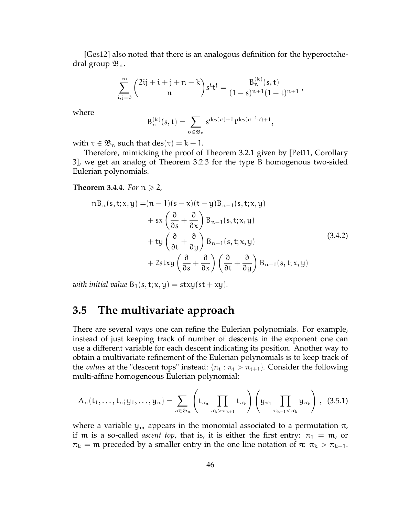[Ges12] also noted that there is an analogous definition for the hyperoctahedral group  $\mathfrak{B}_n$ .

$$
\sum_{i,j=0}^{\infty}\binom{2ij+i+j+n-k}{n}s^i t^j=\frac{B_n^{(k)}(s,t)}{(1-s)^{n+1}(1-t)^{n+1}},
$$

where

$$
B_n^{(k)}(s,t)=\sum_{\sigma\in\mathfrak{B}_n}s^{{\rm des}(\sigma)+1}t^{{\rm des}(\sigma^{-1}\tau)+1},
$$

with  $\tau \in \mathfrak{B}_n$  such that  $des(\tau) = k - 1$ .

Therefore, mimicking the proof of Theorem 3.2.1 given by [Pet11, Corollary 3], we get an analog of Theorem 3.2.3 for the type B homogenous two-sided Eulerian polynomials.

#### **Theorem 3.4.4.** *For*  $n \ge 2$ *,*

$$
nB_n(s, t; x, y) = (n - 1)(s - x)(t - y)B_{n-1}(s, t; x, y)
$$
  
+  $sx \left(\frac{\partial}{\partial s} + \frac{\partial}{\partial x}\right) B_{n-1}(s, t; x, y)$   
+  $ty \left(\frac{\partial}{\partial t} + \frac{\partial}{\partial y}\right) B_{n-1}(s, t; x, y)$   
+  $2stxy \left(\frac{\partial}{\partial s} + \frac{\partial}{\partial x}\right) \left(\frac{\partial}{\partial t} + \frac{\partial}{\partial y}\right) B_{n-1}(s, t; x, y)$  (3.4.2)

*with initial value*  $B_1(s, t; x, y) = stxy(st + xy)$ .

# **3.5 The multivariate approach**

There are several ways one can refine the Eulerian polynomials. For example, instead of just keeping track of number of descents in the exponent one can use a different variable for each descent indicating its position. Another way to obtain a multivariate refinement of the Eulerian polynomials is to keep track of the *values* at the "descent tops" instead:  $\{\pi_i : \pi_i > \pi_{i+1}\}$ . Consider the following multi-affine homogeneous Eulerian polynomial:

$$
A_n(t_1,...,t_n;y_1,...,y_n) = \sum_{\pi \in \mathfrak{S}_n} \left( t_{\pi_n} \prod_{\pi_k > \pi_{k+1}} t_{\pi_k} \right) \left( y_{\pi_1} \prod_{\pi_{k-1} < \pi_k} y_{\pi_k} \right), \quad (3.5.1)
$$

where a variable  $y_m$  appears in the monomial associated to a permutation  $\pi$ , if m is a so-called *ascent top*, that is, it is either the first entry:  $\pi_1 = m$ , or  $\pi_k = m$  preceded by a smaller entry in the one line notation of  $\pi: \pi_k > \pi_{k-1}$ .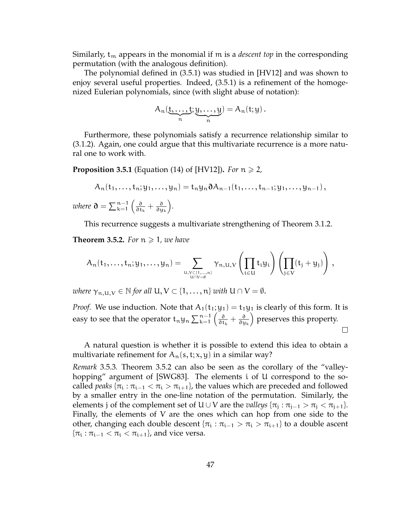Similarly,  $t_m$  appears in the monomial if m is a *descent top* in the corresponding permutation (with the analogous definition).

The polynomial defined in (3.5.1) was studied in [HV12] and was shown to enjoy several useful properties. Indeed, (3.5.1) is a refinement of the homogenized Eulerian polynomials, since (with slight abuse of notation):

$$
A_n(\underbrace{t,\ldots,t}_{n};\underbrace{y,\ldots,y}_{n})=A_n(t;y).
$$

Furthermore, these polynomials satisfy a recurrence relationship similar to (3.1.2). Again, one could argue that this multivariate recurrence is a more natural one to work with.

**Proposition 3.5.1** (Equation (14) of [HV12]). *For*  $n \ge 2$ ,

$$
A_n(t_1,...,t_n;y_1,...,y_n)=t_ny_n\partial A_{n-1}(t_1,...,t_{n-1};y_1,...,y_{n-1}),
$$

where  $\mathfrak{d} = \sum_{k=1}^{n-1} \left( \frac{\mathfrak{d}}{\mathfrak{d} \mathfrak{t}} \right)$  $\frac{\partial}{\partial \mathbf{t_{k}}} + \frac{\partial}{\partial \mathbf{y}}$ ∂y<sup>k</sup> *.*

This recurrence suggests a multivariate strengthening of Theorem 3.1.2.

**Theorem 3.5.2.** For  $n \geq 1$ , we have

$$
\mathcal{A}_n(t_1,\ldots,t_n;y_1,\ldots,y_n)=\sum_{\substack{u,v\in\{1,\ldots,n\}\\u\cap V=\emptyset}}\gamma_{n,u,V}\left(\prod_{i\in U}t_iy_i\right)\left(\prod_{j\in V}(t_j+y_j)\right)\,,
$$

*where*  $\gamma_{n,U,V} \in \mathbb{N}$  *for all*  $U, V \subset \{1, \ldots, n\}$  *with*  $U \cap V = \emptyset$ .

*Proof.* We use induction. Note that  $A_1(t_1; y_1) = t_1y_1$  is clearly of this form. It is easy to see that the operator  $t_n y_n \sum_{k=1}^{n-1} \left( \frac{\partial}{\partial t_k} \right)$  preserves this property.  $\frac{\partial}{\partial \mathsf{t_k}} + \frac{\partial}{\partial \mathsf{y}}$ ∂y<sup>k</sup>  $\Box$ 

A natural question is whether it is possible to extend this idea to obtain a multivariate refinement for  $A_n(s, t; x, y)$  in a similar way?

*Remark* 3.5.3*.* Theorem 3.5.2 can also be seen as the corollary of the "valleyhopping" argument of [SWG83]. The elements i of U correspond to the socalled *peaks* { $\pi_i$  :  $\pi_{i-1} < \pi_i > \pi_{i+1}$ }, the values which are preceded and followed by a smaller entry in the one-line notation of the permutation. Similarly, the elements j of the complement set of  $U \cup V$  are the *valleys*  $\{\pi_j : \pi_{j-1} > \pi_j < \pi_{j+1}\}.$ Finally, the elements of V are the ones which can hop from one side to the other, changing each double descent { $\pi_i : \pi_{i-1} > \pi_i > \pi_{i+1}$ } to a double ascent  $\{\pi_i : \pi_{i-1} < \pi_i < \pi_{i+1}\}\$ , and vice versa.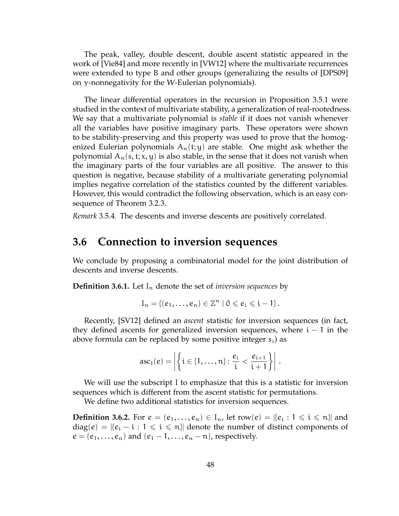The peak, valley, double descent, double ascent statistic appeared in the work of [Vie84] and more recently in [VW12] where the multivariate recurrences were extended to type B and other groups (generalizing the results of [DPS09] on  $γ$ -nonnegativity for the W-Eulerian polynomials).

The linear differential operators in the recursion in Proposition 3.5.1 were studied in the context of multivariate stability, a generalization of real-rootedness. We say that a multivariate polynomial is *stable* if it does not vanish whenever all the variables have positive imaginary parts. These operators were shown to be stability-preserving and this property was used to prove that the homogenized Eulerian polynomials  $A_n(t; y)$  are stable. One might ask whether the polynomial  $A_n(s, t; x, y)$  is also stable, in the sense that it does not vanish when the imaginary parts of the four variables are all positive. The answer to this question is negative, because stability of a multivariate generating polynomial implies negative correlation of the statistics counted by the different variables. However, this would contradict the following observation, which is an easy consequence of Theorem 3.2.3.

*Remark* 3.5.4*.* The descents and inverse descents are positively correlated.

### **3.6 Connection to inversion sequences**

We conclude by proposing a combinatorial model for the joint distribution of descents and inverse descents.

**Definition 3.6.1.** Let  $I_n$  denote the set of *inversion sequences* by

$$
I_n = \{ (e_1, \ldots, e_n) \in \mathbb{Z}^n \mid 0 \leqslant e_i \leqslant i-1 \}.
$$

Recently, [SV12] defined an *ascent* statistic for inversion sequences (in fact, they defined ascents for generalized inversion sequences, where  $i - 1$  in the above formula can be replaced by some positive integer  $s_i$ ) as

$$
asc_I(e) = \left| \left\{ i \in \{1,\ldots,n\} \colon \frac{e_i}{i} < \frac{e_{i+1}}{i+1} \right\} \right|.
$$

We will use the subscript I to emphasize that this is a statistic for inversion sequences which is different from the ascent statistic for permutations.

We define two additional statistics for inversion sequences.

**Definition 3.6.2.** For  $e = (e_1, \ldots, e_n) \in I_n$ , let row $(e) = | \{e_i : 1 \leq i \leq n\}$  and  $diag(e) = | \{e_i - i : 1 \leq i \leq n\} |$  denote the number of distinct components of  $e = (e_1, \ldots, e_n)$  and  $(e_1 - 1, \ldots, e_n - n)$ , respectively.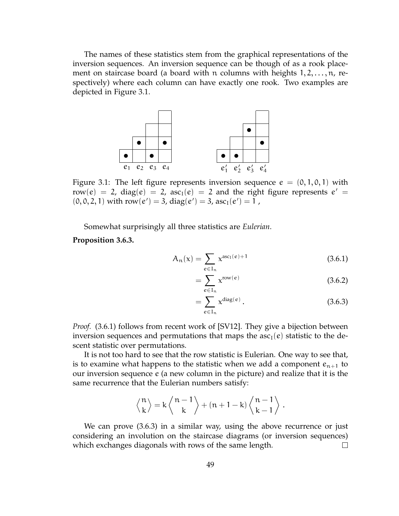The names of these statistics stem from the graphical representations of the inversion sequences. An inversion sequence can be though of as a rook placement on staircase board (a board with n columns with heights  $1, 2, \ldots, n$ , respectively) where each column can have exactly one rook. Two examples are depicted in Figure 3.1.



Figure 3.1: The left figure represents inversion sequence  $e = (0, 1, 0, 1)$  with row(e) = 2, diag(e) = 2, asc<sub>I</sub>(e) = 2 and the right figure represents  $e'$  =  $(0, 0, 2, 1)$  with row $(e') = 3$ , diag $(e') = 3$ , asc<sub>I</sub> $(e') = 1$ ,

Somewhat surprisingly all three statistics are *Eulerian*.

**Proposition 3.6.3.**

$$
A_n(x) = \sum_{e \in I_n} x^{\text{asc}_I(e) + 1}
$$
 (3.6.1)

$$
=\sum_{e\in I_n} x^{\text{row}(e)}\tag{3.6.2}
$$

$$
=\sum_{e\in I_n} x^{\text{diag}(e)}.
$$
\n(3.6.3)

*Proof.* (3.6.1) follows from recent work of [SV12]. They give a bijection between inversion sequences and permutations that maps the  $asc<sub>I</sub>(e)$  statistic to the descent statistic over permutations.

It is not too hard to see that the row statistic is Eulerian. One way to see that, is to examine what happens to the statistic when we add a component  $e_{n+1}$  to our inversion sequence e (a new column in the picture) and realize that it is the same recurrence that the Eulerian numbers satisfy:

$$
\left\langle\genfrac{}{}{0pt}{}{n}{k}\right\rangle=k\left\langle\genfrac{}{}{0pt}{}{n-1}{k}\right\rangle+(n+1-k)\left\langle\genfrac{}{}{0pt}{}{n-1}{k-1}\right\rangle.
$$

We can prove (3.6.3) in a similar way, using the above recurrence or just considering an involution on the staircase diagrams (or inversion sequences) which exchanges diagonals with rows of the same length.  $\Box$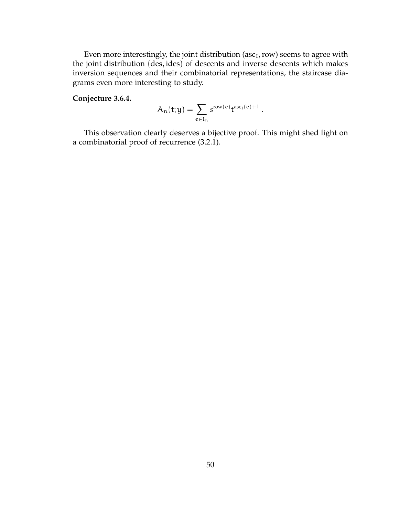Even more interestingly, the joint distribution (asc $_I$ , row) seems to agree with the joint distribution (des, ides) of descents and inverse descents which makes inversion sequences and their combinatorial representations, the staircase diagrams even more interesting to study.

#### **Conjecture 3.6.4.**

$$
\mathcal{A}_n(t;y)=\sum_{e\in I_n}s^{row(e)}t^{asc_I(e)+1}\,.
$$

This observation clearly deserves a bijective proof. This might shed light on a combinatorial proof of recurrence (3.2.1).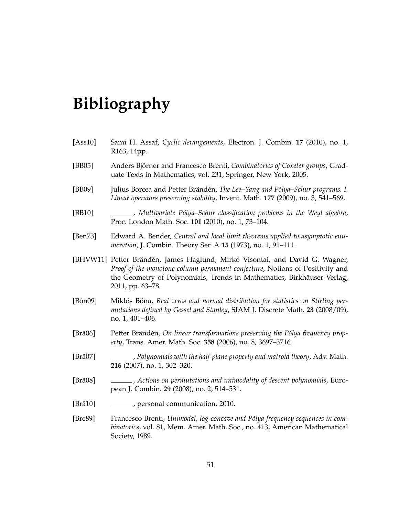# **Bibliography**

- [Ass10] Sami H. Assaf, *Cyclic derangements*, Electron. J. Combin. **17** (2010), no. 1, R163, 14pp.
- [BB05] Anders Björner and Francesco Brenti, *Combinatorics of Coxeter groups*, Graduate Texts in Mathematics, vol. 231, Springer, New York, 2005.
- [BB09] Julius Borcea and Petter Brändén, *The Lee–Yang and Pólya–Schur programs. I. Linear operators preserving stability*, Invent. Math. **177** (2009), no. 3, 541–569.
- [BB10] , *Multivariate Pólya–Schur classification problems in the Weyl algebra*, Proc. London Math. Soc. **101** (2010), no. 1, 73–104.
- [Ben73] Edward A. Bender, *Central and local limit theorems applied to asymptotic enumeration*, J. Combin. Theory Ser. A **15** (1973), no. 1, 91–111.
- [BHVW11] Petter Brändén, James Haglund, Mirkó Visontai, and David G. Wagner, *Proof of the monotone column permanent conjecture*, Notions of Positivity and the Geometry of Polynomials, Trends in Mathematics, Birkhäuser Verlag, 2011, pp. 63–78.
- [Bón09] Miklós Bóna, *Real zeros and normal distribution for statistics on Stirling permutations defined by Gessel and Stanley*, SIAM J. Discrete Math. **23** (2008/09), no. 1, 401–406.
- [Brä06] Petter Brändén, *On linear transformations preserving the Pólya frequency property*, Trans. Amer. Math. Soc. **358** (2006), no. 8, 3697–3716.
- [Brä07] , *Polynomials with the half-plane property and matroid theory*, Adv. Math. **216** (2007), no. 1, 302–320.
- [Brä08] , *Actions on permutations and unimodality of descent polynomials*, European J. Combin. **29** (2008), no. 2, 514–531.
- [Brä10] , personal communication, 2010.
- [Bre89] Francesco Brenti, *Unimodal, log-concave and Pólya frequency sequences in combinatorics*, vol. 81, Mem. Amer. Math. Soc., no. 413, American Mathematical Society, 1989.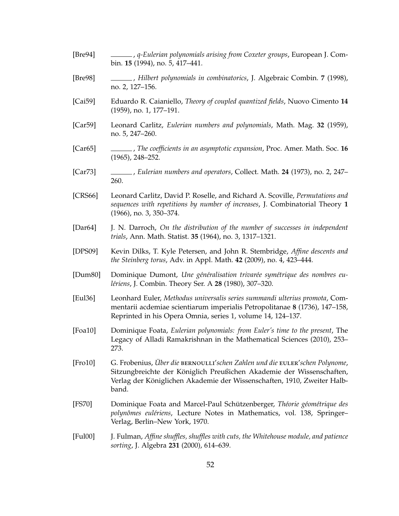| [Bre94]  | _____, q-Eulerian polynomials arising from Coxeter groups, European J. Com-<br>bin. 15 (1994), no. 5, 417-441.                                                                                                                           |
|----------|------------------------------------------------------------------------------------------------------------------------------------------------------------------------------------------------------------------------------------------|
| [Bre98]  | ______, Hilbert polynomials in combinatorics, J. Algebraic Combin. 7 (1998),<br>no. 2, 127-156.                                                                                                                                          |
| [Cai59]  | Eduardo R. Caianiello, Theory of coupled quantized fields, Nuovo Cimento 14<br>(1959), no. 1, 177-191.                                                                                                                                   |
| [Car59]  | Leonard Carlitz, Eulerian numbers and polynomials, Math. Mag. 32 (1959),<br>no. 5, 247-260.                                                                                                                                              |
| [Car65]  | The coefficients in an asymptotic expansion, Proc. Amer. Math. Soc. 16<br>$(1965)$ , 248-252.                                                                                                                                            |
| [Car73]  | ______, Eulerian numbers and operators, Collect. Math. 24 (1973), no. 2, 247–<br>260.                                                                                                                                                    |
| [CRS66]  | Leonard Carlitz, David P. Roselle, and Richard A. Scoville, Permutations and<br>sequences with repetitions by number of increases, J. Combinatorial Theory 1<br>$(1966)$ , no. 3, 350-374.                                               |
| [Dar64]  | J. N. Darroch, On the distribution of the number of successes in independent<br>trials, Ann. Math. Statist. 35 (1964), no. 3, 1317-1321.                                                                                                 |
| [DPS09]  | Kevin Dilks, T. Kyle Petersen, and John R. Stembridge, Affine descents and<br>the Steinberg torus, Adv. in Appl. Math. 42 (2009), no. 4, 423-444.                                                                                        |
| [Dum80]  | Dominique Dumont, Une généralisation trivarée symétrique des nombres eu-<br>lériens, J. Combin. Theory Ser. A 28 (1980), 307-320.                                                                                                        |
| [Eu136]  | Leonhard Euler, Methodus universalis series summandi ulterius promota, Com-<br>mentarii acdemiae scientiarum imperialis Petropolitanae 8 (1736), 147-158,<br>Reprinted in his Opera Omnia, series 1, volume 14, 124–137.                 |
| [Foa10]  | Dominique Foata, Eulerian polynomials: from Euler's time to the present, The<br>Legacy of Alladi Ramakrishnan in the Mathematical Sciences (2010), 253–<br>273.                                                                          |
| [Fr010]  | G. Frobenius, Über die BERNOULLI'schen Zahlen und die EULER'schen Polynome,<br>Sitzungbreichte der Königlich Preußichen Akademie der Wissenschaften,<br>Verlag der Königlichen Akademie der Wissenschaften, 1910, Zweiter Halb-<br>band. |
| [FS70]   | Dominique Foata and Marcel-Paul Schützenberger, Théorie géométrique des<br>polynômes eulériens, Lecture Notes in Mathematics, vol. 138, Springer-<br>Verlag, Berlin-New York, 1970.                                                      |
| [Full00] | J. Fulman, Affine shuffles, shuffles with cuts, the Whitehouse module, and patience<br>sorting, J. Algebra 231 (2000), 614-639.                                                                                                          |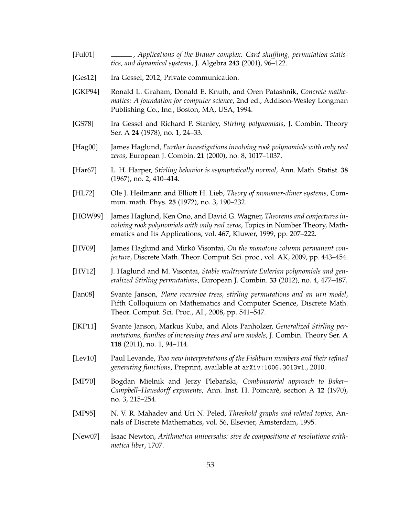- [Ful01] , *Applications of the Brauer complex: Card shuffling, permutation statistics, and dynamical systems*, J. Algebra **243** (2001), 96–122.
- [Ges12] Ira Gessel, 2012, Private communication.
- [GKP94] Ronald L. Graham, Donald E. Knuth, and Oren Patashnik, *Concrete mathematics: A foundation for computer science*, 2nd ed., Addison-Wesley Longman Publishing Co., Inc., Boston, MA, USA, 1994.
- [GS78] Ira Gessel and Richard P. Stanley, *Stirling polynomials*, J. Combin. Theory Ser. A **24** (1978), no. 1, 24–33.
- [Hag00] James Haglund, *Further investigations involving rook polynomials with only real zeros*, European J. Combin. **21** (2000), no. 8, 1017–1037.
- [Har67] L. H. Harper, *Stirling behavior is asymptotically normal*, Ann. Math. Statist. **38** (1967), no. 2, 410–414.
- [HL72] Ole J. Heilmann and Elliott H. Lieb, *Theory of monomer-dimer systems*, Commun. math. Phys. **25** (1972), no. 3, 190–232.
- [HOW99] James Haglund, Ken Ono, and David G. Wagner, *Theorems and conjectures involving rook polynomials with only real zeros*, Topics in Number Theory, Mathematics and Its Applications, vol. 467, Kluwer, 1999, pp. 207–222.
- [HV09] James Haglund and Mirkó Visontai, *On the monotone column permanent conjecture*, Discrete Math. Theor. Comput. Sci. proc., vol. AK, 2009, pp. 443–454.
- [HV12] J. Haglund and M. Visontai, *Stable multivariate Eulerian polynomials and generalized Stirling permutations*, European J. Combin. **33** (2012), no. 4, 477–487.
- [Jan08] Svante Janson, *Plane recursive trees, stirling permutations and an urn model*, Fifth Colloquium on Mathematics and Computer Science, Discrete Math. Theor. Comput. Sci. Proc., AI., 2008, pp. 541–547.
- [JKP11] Svante Janson, Markus Kuba, and Alois Panholzer, *Generalized Stirling permutations, families of increasing trees and urn models*, J. Combin. Theory Ser. A **118** (2011), no. 1, 94–114.
- [Lev10] Paul Levande, *Two new interpretations of the Fishburn numbers and their refined generating functions*, Preprint, available at arXiv:1006.3013v1., 2010.
- [MP70] Bogdan Mielnik and Jerzy Plebański, *Combinatorial approach to Baker– Campbell–Hausdorff exponents*, Ann. Inst. H. Poincaré, section A **12** (1970), no. 3, 215–254.
- [MP95] N. V. R. Mahadev and Uri N. Peled, *Threshold graphs and related topics*, Annals of Discrete Mathematics, vol. 56, Elsevier, Amsterdam, 1995.
- [New07] Isaac Newton, *Arithmetica universalis: sive de compositione et resolutione arithmetica liber*, 1707.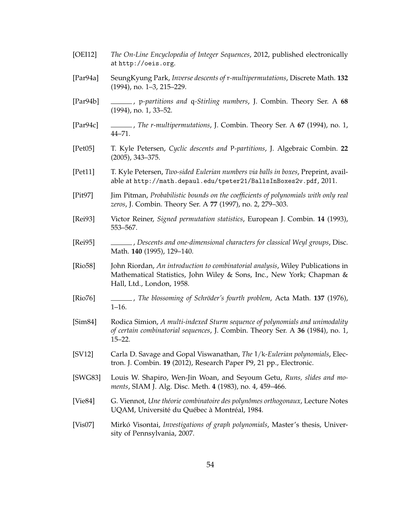- [OEI12] *The On-Line Encyclopedia of Integer Sequences*, 2012, published electronically at http://oeis.org.
- [Par94a] SeungKyung Park, *Inverse descents of* r*-multipermutations*, Discrete Math. **132** (1994), no. 1–3, 215–229.
- [Par94b] , p*-partitions and* q*-Stirling numbers*, J. Combin. Theory Ser. A **68** (1994), no. 1, 33–52.
- [Par94c] , *The r-multipermutations*, J. Combin. Theory Ser. A **67** (1994), no. 1, 44–71.
- [Pet05] T. Kyle Petersen, *Cyclic descents and* P*-partitions*, J. Algebraic Combin. **22** (2005), 343–375.
- [Pet11] T. Kyle Petersen, *Two-sided Eulerian numbers via balls in boxes*, Preprint, available at http://math.depaul.edu/tpeter21/BallsInBoxes2v.pdf, 2011.
- [Pit97] Jim Pitman, *Probabilistic bounds on the coefficients of polynomials with only real zeros*, J. Combin. Theory Ser. A **77** (1997), no. 2, 279–303.
- [Rei93] Victor Reiner, *Signed permutation statistics*, European J. Combin. **14** (1993), 553–567.
- [Rei95] , *Descents and one-dimensional characters for classical Weyl groups*, Disc. Math. **140** (1995), 129–140.
- [Rio58] John Riordan, *An introduction to combinatorial analysis*, Wiley Publications in Mathematical Statistics, John Wiley & Sons, Inc., New York; Chapman & Hall, Ltd., London, 1958.
- [Rio76] , *The blossoming of Schröder's fourth problem*, Acta Math. **137** (1976), 1–16.
- [Sim84] Rodica Simion, *A multi-indexed Sturm sequence of polynomials and unimodality of certain combinatorial sequences*, J. Combin. Theory Ser. A **36** (1984), no. 1, 15–22.
- [SV12] Carla D. Savage and Gopal Viswanathan, *The* 1/k*-Eulerian polynomials*, Electron. J. Combin. **19** (2012), Research Paper P9, 21 pp., Electronic.
- [SWG83] Louis W. Shapiro, Wen-Jin Woan, and Seyoum Getu, *Runs, slides and moments*, SIAM J. Alg. Disc. Meth. **4** (1983), no. 4, 459–466.
- [Vie84] G. Viennot, *Une théorie combinatoire des polynômes orthogonaux*, Lecture Notes UQAM, Université du Québec à Montréal, 1984.
- [Vis07] Mirkó Visontai, *Investigations of graph polynomials*, Master's thesis, University of Pennsylvania, 2007.